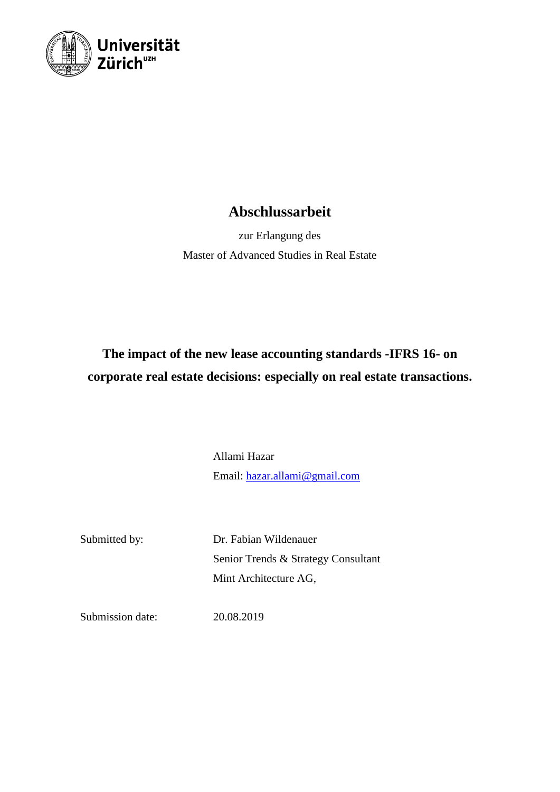

## **Abschlussarbeit**

zur Erlangung des Master of Advanced Studies in Real Estate

# **The impact of the new lease accounting standards -IFRS 16- on corporate real estate decisions: especially on real estate transactions.**

Allami Hazar Email: [hazar.allami@gmail.com](mailto:hazar.allami@gmail.com)

Submitted by: Dr. Fabian Wildenauer Senior Trends & Strategy Consultant Mint Architecture AG,

Submission date: 20.08.2019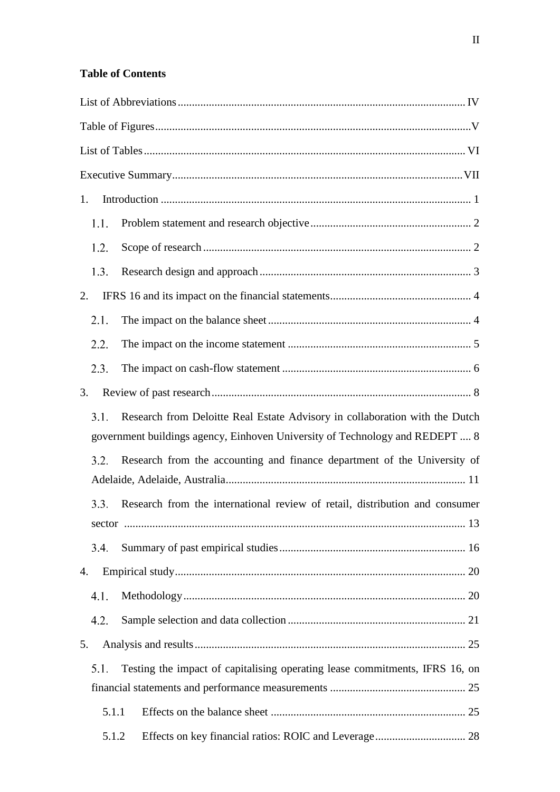### **Table of Contents**

| 1.                                                                                                                                                                  |  |
|---------------------------------------------------------------------------------------------------------------------------------------------------------------------|--|
| 1.1.                                                                                                                                                                |  |
| 1.2.                                                                                                                                                                |  |
| 1.3.                                                                                                                                                                |  |
| 2.                                                                                                                                                                  |  |
| 2.1.                                                                                                                                                                |  |
| 2.2.                                                                                                                                                                |  |
| 2.3.                                                                                                                                                                |  |
| 3.                                                                                                                                                                  |  |
| Research from Deloitte Real Estate Advisory in collaboration with the Dutch<br>3.1.<br>government buildings agency, Einhoven University of Technology and REDEPT  8 |  |
| Research from the accounting and finance department of the University of<br>3.2.                                                                                    |  |
| Research from the international review of retail, distribution and consumer<br>3.3.                                                                                 |  |
| 3.4.                                                                                                                                                                |  |
| 4.                                                                                                                                                                  |  |
| 4.1.                                                                                                                                                                |  |
| 4.2.                                                                                                                                                                |  |
| 5.                                                                                                                                                                  |  |
| Testing the impact of capitalising operating lease commitments, IFRS 16, on<br>5.1.                                                                                 |  |
| 5.1.1                                                                                                                                                               |  |
| 5.1.2                                                                                                                                                               |  |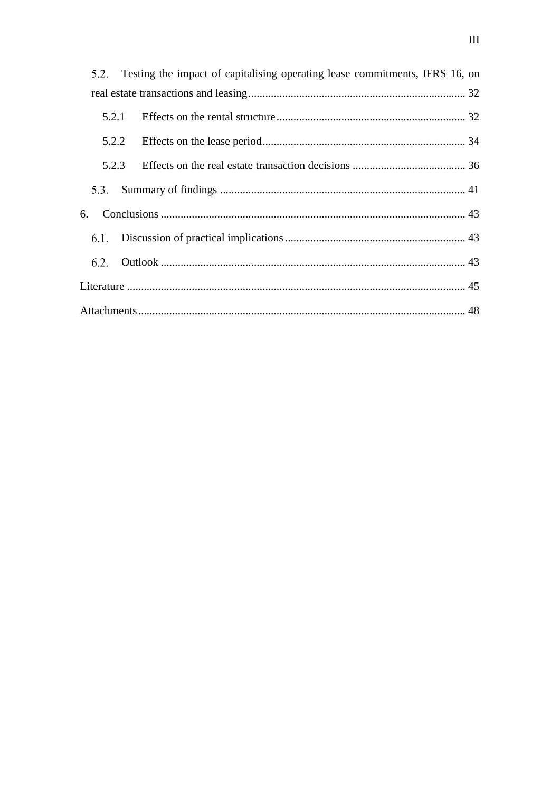|       | 5.2. Testing the impact of capitalising operating lease commitments, IFRS 16, on |  |
|-------|----------------------------------------------------------------------------------|--|
|       |                                                                                  |  |
| 5.2.1 |                                                                                  |  |
|       |                                                                                  |  |
| 5.2.3 |                                                                                  |  |
| 5.3.  |                                                                                  |  |
| 6.    |                                                                                  |  |
|       |                                                                                  |  |
|       |                                                                                  |  |
|       |                                                                                  |  |
|       |                                                                                  |  |
|       |                                                                                  |  |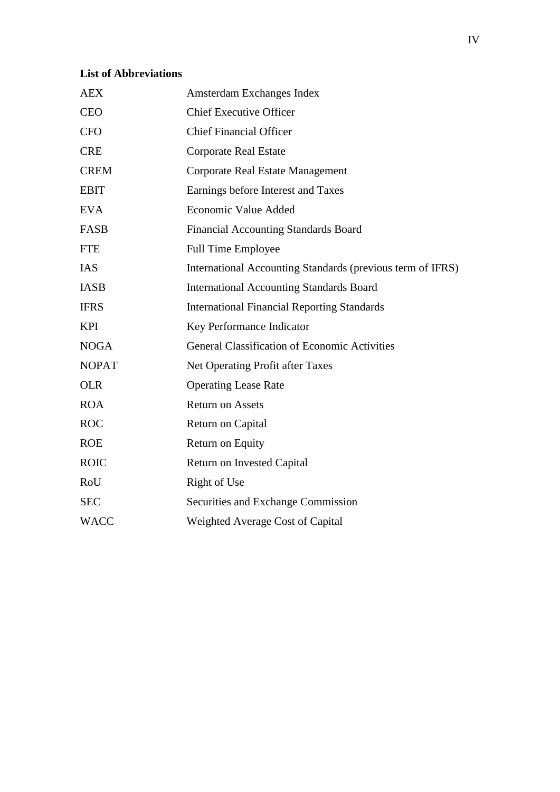### <span id="page-3-0"></span>**List of Abbreviations**

| <b>AEX</b>   | Amsterdam Exchanges Index                                  |
|--------------|------------------------------------------------------------|
| <b>CEO</b>   | <b>Chief Executive Officer</b>                             |
| <b>CFO</b>   | <b>Chief Financial Officer</b>                             |
| <b>CRE</b>   | <b>Corporate Real Estate</b>                               |
| <b>CREM</b>  | Corporate Real Estate Management                           |
| <b>EBIT</b>  | Earnings before Interest and Taxes                         |
| <b>EVA</b>   | Economic Value Added                                       |
| FASB         | <b>Financial Accounting Standards Board</b>                |
| <b>FTE</b>   | <b>Full Time Employee</b>                                  |
| <b>IAS</b>   | International Accounting Standards (previous term of IFRS) |
| <b>IASB</b>  | <b>International Accounting Standards Board</b>            |
| <b>IFRS</b>  | <b>International Financial Reporting Standards</b>         |
| <b>KPI</b>   | Key Performance Indicator                                  |
| <b>NOGA</b>  | <b>General Classification of Economic Activities</b>       |
| <b>NOPAT</b> | Net Operating Profit after Taxes                           |
| <b>OLR</b>   | <b>Operating Lease Rate</b>                                |
| <b>ROA</b>   | <b>Return on Assets</b>                                    |
| <b>ROC</b>   | Return on Capital                                          |
| <b>ROE</b>   | Return on Equity                                           |
| <b>ROIC</b>  | <b>Return on Invested Capital</b>                          |
| RoU          | Right of Use                                               |
| <b>SEC</b>   | Securities and Exchange Commission                         |
| <b>WACC</b>  | Weighted Average Cost of Capital                           |
|              |                                                            |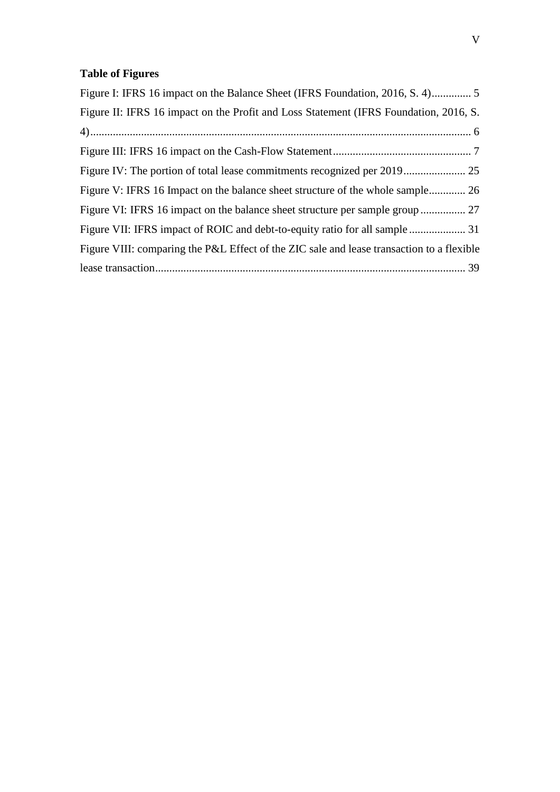## <span id="page-4-0"></span>**Table of Figures**

| Figure II: IFRS 16 impact on the Profit and Loss Statement (IFRS Foundation, 2016, S.     |
|-------------------------------------------------------------------------------------------|
|                                                                                           |
|                                                                                           |
|                                                                                           |
| Figure V: IFRS 16 Impact on the balance sheet structure of the whole sample 26            |
|                                                                                           |
| Figure VII: IFRS impact of ROIC and debt-to-equity ratio for all sample  31               |
| Figure VIII: comparing the P&L Effect of the ZIC sale and lease transaction to a flexible |
|                                                                                           |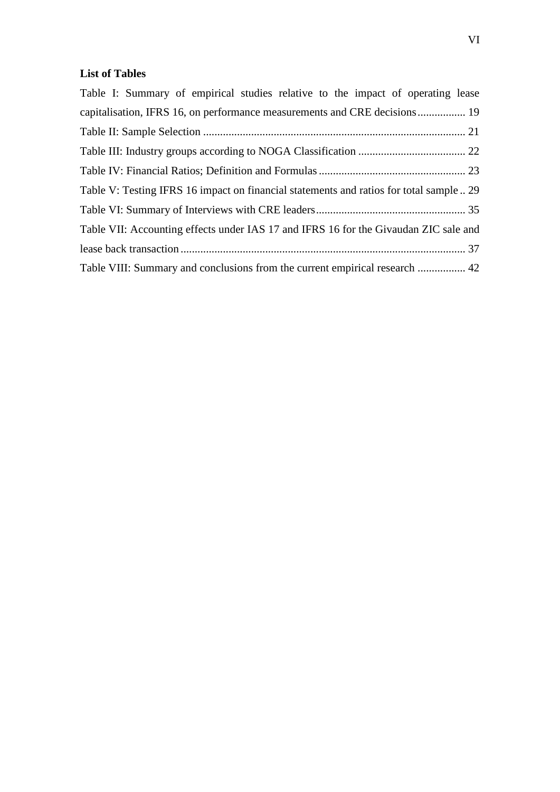### <span id="page-5-0"></span>**List of Tables**

| Table I: Summary of empirical studies relative to the impact of operating lease         |
|-----------------------------------------------------------------------------------------|
|                                                                                         |
|                                                                                         |
|                                                                                         |
|                                                                                         |
| Table V: Testing IFRS 16 impact on financial statements and ratios for total sample  29 |
|                                                                                         |
| Table VII: Accounting effects under IAS 17 and IFRS 16 for the Givaudan ZIC sale and    |
|                                                                                         |
| Table VIII: Summary and conclusions from the current empirical research  42             |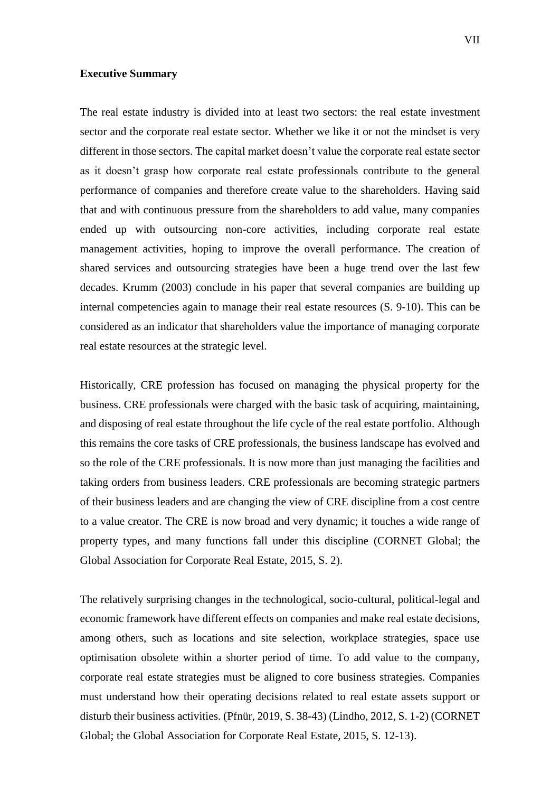#### <span id="page-6-0"></span>**Executive Summary**

The real estate industry is divided into at least two sectors: the real estate investment sector and the corporate real estate sector. Whether we like it or not the mindset is very different in those sectors. The capital market doesn't value the corporate real estate sector as it doesn't grasp how corporate real estate professionals contribute to the general performance of companies and therefore create value to the shareholders. Having said that and with continuous pressure from the shareholders to add value, many companies ended up with outsourcing non-core activities, including corporate real estate management activities, hoping to improve the overall performance. The creation of shared services and outsourcing strategies have been a huge trend over the last few decades. Krumm (2003) conclude in his paper that several companies are building up internal competencies again to manage their real estate resources (S. 9-10). This can be considered as an indicator that shareholders value the importance of managing corporate real estate resources at the strategic level.

Historically, CRE profession has focused on managing the physical property for the business. CRE professionals were charged with the basic task of acquiring, maintaining, and disposing of real estate throughout the life cycle of the real estate portfolio. Although this remains the core tasks of CRE professionals, the business landscape has evolved and so the role of the CRE professionals. It is now more than just managing the facilities and taking orders from business leaders. CRE professionals are becoming strategic partners of their business leaders and are changing the view of CRE discipline from a cost centre to a value creator. The CRE is now broad and very dynamic; it touches a wide range of property types, and many functions fall under this discipline (CORNET Global; the Global Association for Corporate Real Estate, 2015, S. 2).

The relatively surprising changes in the technological, socio-cultural, political-legal and economic framework have different effects on companies and make real estate decisions, among others, such as locations and site selection, workplace strategies, space use optimisation obsolete within a shorter period of time. To add value to the company, corporate real estate strategies must be aligned to core business strategies. Companies must understand how their operating decisions related to real estate assets support or disturb their business activities. (Pfnür, 2019, S. 38-43) (Lindho, 2012, S. 1-2) (CORNET Global; the Global Association for Corporate Real Estate, 2015, S. 12-13).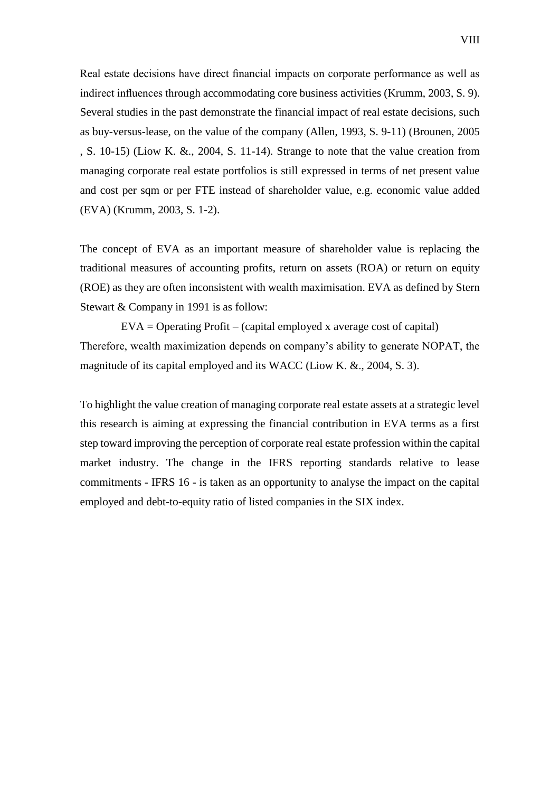Real estate decisions have direct financial impacts on corporate performance as well as indirect influences through accommodating core business activities (Krumm, 2003, S. 9). Several studies in the past demonstrate the financial impact of real estate decisions, such as buy-versus-lease, on the value of the company (Allen, 1993, S. 9-11) (Brounen, 2005 , S. 10-15) (Liow K. &., 2004, S. 11-14). Strange to note that the value creation from managing corporate real estate portfolios is still expressed in terms of net present value and cost per sqm or per FTE instead of shareholder value, e.g. economic value added (EVA) (Krumm, 2003, S. 1-2).

The concept of EVA as an important measure of shareholder value is replacing the traditional measures of accounting profits, return on assets (ROA) or return on equity (ROE) as they are often inconsistent with wealth maximisation. EVA as defined by Stern Stewart & Company in 1991 is as follow:

 $EVA =$  Operating Profit – (capital employed x average cost of capital) Therefore, wealth maximization depends on company's ability to generate NOPAT, the magnitude of its capital employed and its WACC (Liow K. &., 2004, S. 3).

To highlight the value creation of managing corporate real estate assets at a strategic level this research is aiming at expressing the financial contribution in EVA terms as a first step toward improving the perception of corporate real estate profession within the capital market industry. The change in the IFRS reporting standards relative to lease commitments - IFRS 16 - is taken as an opportunity to analyse the impact on the capital employed and debt-to-equity ratio of listed companies in the SIX index.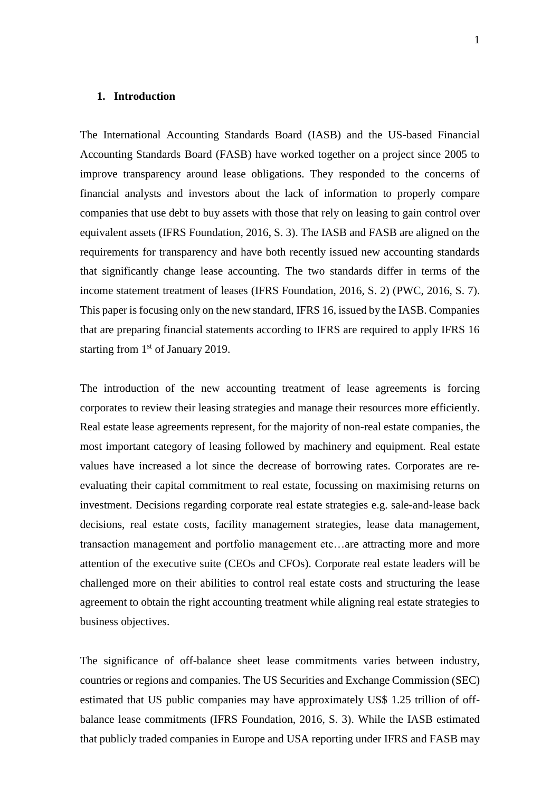#### <span id="page-8-0"></span>**1. Introduction**

The International Accounting Standards Board (IASB) and the US-based Financial Accounting Standards Board (FASB) have worked together on a project since 2005 to improve transparency around lease obligations. They responded to the concerns of financial analysts and investors about the lack of information to properly compare companies that use debt to buy assets with those that rely on leasing to gain control over equivalent assets (IFRS Foundation, 2016, S. 3). The IASB and FASB are aligned on the requirements for transparency and have both recently issued new accounting standards that significantly change lease accounting. The two standards differ in terms of the income statement treatment of leases (IFRS Foundation, 2016, S. 2) (PWC, 2016, S. 7). This paper is focusing only on the new standard, IFRS 16, issued by the IASB. Companies that are preparing financial statements according to IFRS are required to apply IFRS 16 starting from 1<sup>st</sup> of January 2019.

The introduction of the new accounting treatment of lease agreements is forcing corporates to review their leasing strategies and manage their resources more efficiently. Real estate lease agreements represent, for the majority of non-real estate companies, the most important category of leasing followed by machinery and equipment. Real estate values have increased a lot since the decrease of borrowing rates. Corporates are reevaluating their capital commitment to real estate, focussing on maximising returns on investment. Decisions regarding corporate real estate strategies e.g. sale-and-lease back decisions, real estate costs, facility management strategies, lease data management, transaction management and portfolio management etc…are attracting more and more attention of the executive suite (CEOs and CFOs). Corporate real estate leaders will be challenged more on their abilities to control real estate costs and structuring the lease agreement to obtain the right accounting treatment while aligning real estate strategies to business objectives.

The significance of off-balance sheet lease commitments varies between industry, countries or regions and companies. The US Securities and Exchange Commission (SEC) estimated that US public companies may have approximately US\$ 1.25 trillion of offbalance lease commitments (IFRS Foundation, 2016, S. 3). While the IASB estimated that publicly traded companies in Europe and USA reporting under IFRS and FASB may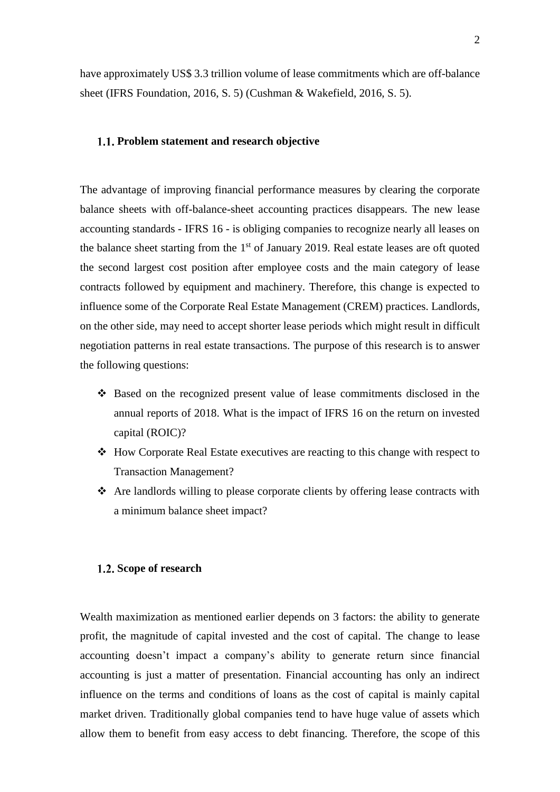have approximately US\$ 3.3 trillion volume of lease commitments which are off-balance sheet (IFRS Foundation, 2016, S. 5) (Cushman & Wakefield, 2016, S. 5).

#### <span id="page-9-0"></span>**Problem statement and research objective**

The advantage of improving financial performance measures by clearing the corporate balance sheets with off-balance-sheet accounting practices disappears. The new lease accounting standards - IFRS 16 - is obliging companies to recognize nearly all leases on the balance sheet starting from the  $1<sup>st</sup>$  of January 2019. Real estate leases are oft quoted the second largest cost position after employee costs and the main category of lease contracts followed by equipment and machinery. Therefore, this change is expected to influence some of the Corporate Real Estate Management (CREM) practices. Landlords, on the other side, may need to accept shorter lease periods which might result in difficult negotiation patterns in real estate transactions. The purpose of this research is to answer the following questions:

- ❖ Based on the recognized present value of lease commitments disclosed in the annual reports of 2018. What is the impact of IFRS 16 on the return on invested capital (ROIC)?
- ❖ How Corporate Real Estate executives are reacting to this change with respect to Transaction Management?
- ❖ Are landlords willing to please corporate clients by offering lease contracts with a minimum balance sheet impact?

#### <span id="page-9-1"></span>1.2. Scope of research

Wealth maximization as mentioned earlier depends on 3 factors: the ability to generate profit, the magnitude of capital invested and the cost of capital. The change to lease accounting doesn't impact a company's ability to generate return since financial accounting is just a matter of presentation. Financial accounting has only an indirect influence on the terms and conditions of loans as the cost of capital is mainly capital market driven. Traditionally global companies tend to have huge value of assets which allow them to benefit from easy access to debt financing. Therefore, the scope of this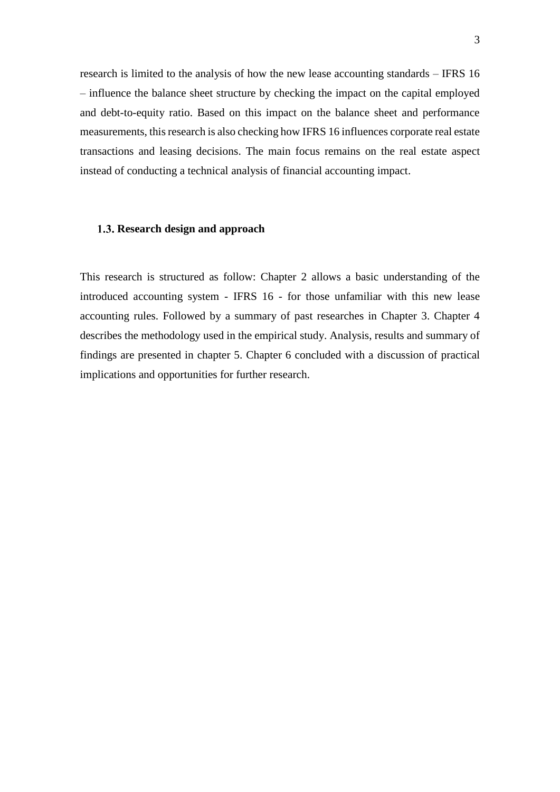research is limited to the analysis of how the new lease accounting standards – IFRS 16 – influence the balance sheet structure by checking the impact on the capital employed and debt-to-equity ratio. Based on this impact on the balance sheet and performance measurements, this research is also checking how IFRS 16 influences corporate real estate transactions and leasing decisions. The main focus remains on the real estate aspect instead of conducting a technical analysis of financial accounting impact.

#### <span id="page-10-0"></span>1.3. Research design and approach

This research is structured as follow: Chapter 2 allows a basic understanding of the introduced accounting system - IFRS 16 - for those unfamiliar with this new lease accounting rules. Followed by a summary of past researches in Chapter 3. Chapter 4 describes the methodology used in the empirical study. Analysis, results and summary of findings are presented in chapter 5. Chapter 6 concluded with a discussion of practical implications and opportunities for further research.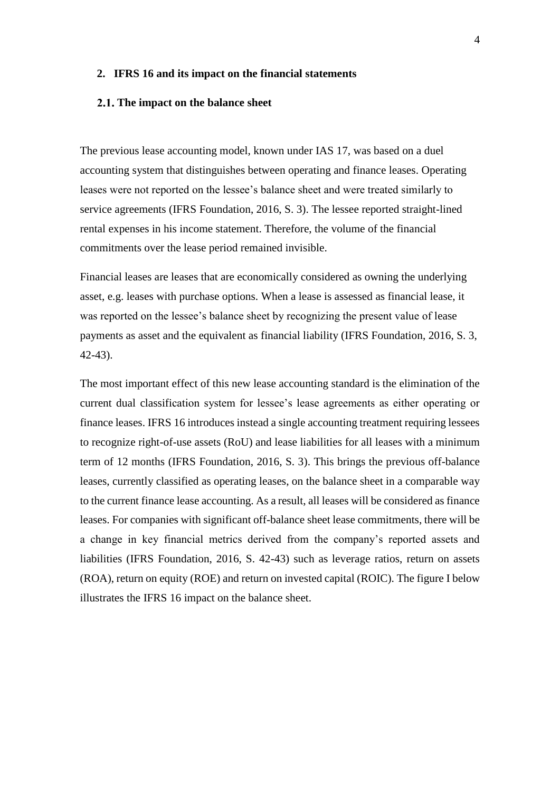#### <span id="page-11-0"></span>**2. IFRS 16 and its impact on the financial statements**

#### <span id="page-11-1"></span>**The impact on the balance sheet**

The previous lease accounting model, known under IAS 17, was based on a duel accounting system that distinguishes between operating and finance leases. Operating leases were not reported on the lessee's balance sheet and were treated similarly to service agreements (IFRS Foundation, 2016, S. 3). The lessee reported straight-lined rental expenses in his income statement. Therefore, the volume of the financial commitments over the lease period remained invisible.

Financial leases are leases that are economically considered as owning the underlying asset, e.g. leases with purchase options. When a lease is assessed as financial lease, it was reported on the lessee's balance sheet by recognizing the present value of lease payments as asset and the equivalent as financial liability (IFRS Foundation, 2016, S. 3, 42-43).

The most important effect of this new lease accounting standard is the elimination of the current dual classification system for lessee's lease agreements as either operating or finance leases. IFRS 16 introduces instead a single accounting treatment requiring lessees to recognize right-of-use assets (RoU) and lease liabilities for all leases with a minimum term of 12 months (IFRS Foundation, 2016, S. 3). This brings the previous off-balance leases, currently classified as operating leases, on the balance sheet in a comparable way to the current finance lease accounting. As a result, all leases will be considered as finance leases. For companies with significant off-balance sheet lease commitments, there will be a change in key financial metrics derived from the company's reported assets and liabilities (IFRS Foundation, 2016, S. 42-43) such as leverage ratios, return on assets (ROA), return on equity (ROE) and return on invested capital (ROIC). The figure I below illustrates the IFRS 16 impact on the balance sheet.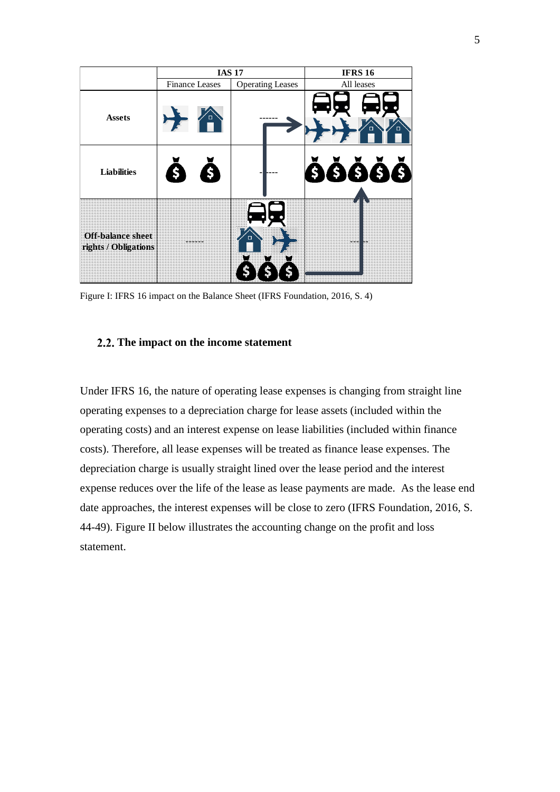|                                                  |                       | <b>IAS 17</b>           | <b>IFRS 16</b>                |
|--------------------------------------------------|-----------------------|-------------------------|-------------------------------|
|                                                  | <b>Finance Leases</b> | <b>Operating Leases</b> | All leases                    |
| <b>Assets</b>                                    |                       |                         | $\bullet$<br>$\Box$<br>$\Box$ |
| <b>Liabilities</b>                               | \$                    |                         | ŎŎŎŎŎ                         |
| <b>Off-balance sheet</b><br>rights / Obligations |                       | $\Box$                  |                               |

<span id="page-12-1"></span>Figure I: IFRS 16 impact on the Balance Sheet (IFRS Foundation, 2016, S. 4)

#### <span id="page-12-0"></span>**The impact on the income statement**

Under IFRS 16, the nature of operating lease expenses is changing from straight line operating expenses to a depreciation charge for lease assets (included within the operating costs) and an interest expense on lease liabilities (included within finance costs). Therefore, all lease expenses will be treated as finance lease expenses. The depreciation charge is usually straight lined over the lease period and the interest expense reduces over the life of the lease as lease payments are made. As the lease end date approaches, the interest expenses will be close to zero (IFRS Foundation, 2016, S. 44-49). Figure II below illustrates the accounting change on the profit and loss statement.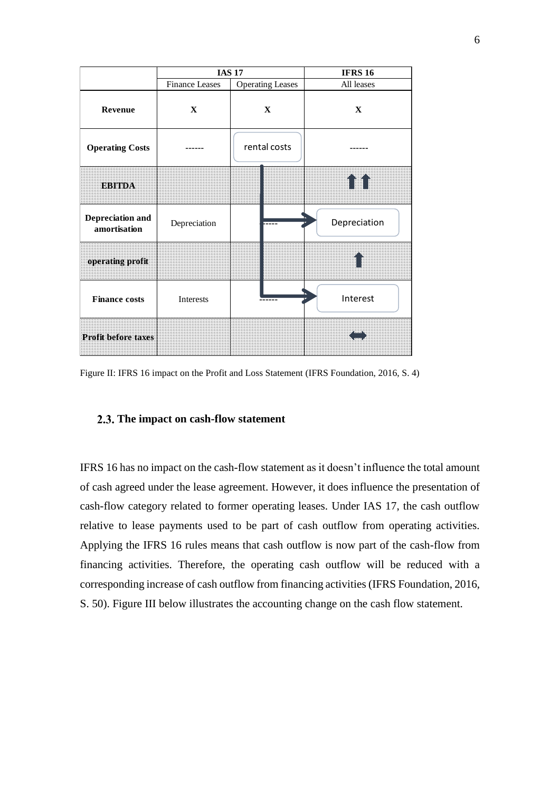|                                  | <b>IAS 17</b>         |                         | <b>IFRS 16</b> |
|----------------------------------|-----------------------|-------------------------|----------------|
|                                  | <b>Finance Leases</b> | <b>Operating Leases</b> | All leases     |
| Revenue                          | $\mathbf{X}$          | $\mathbf{X}$            | $\mathbf{X}$   |
| <b>Operating Costs</b>           |                       | rental costs            |                |
| <b>EBITDA</b>                    |                       |                         | III            |
| Depreciation and<br>amortisation | Depreciation          |                         | Depreciation   |
| operating profit                 |                       |                         |                |
| <b>Finance costs</b>             | Interests             |                         | Interest       |
| <b>Profit before taxes</b>       |                       |                         |                |

<span id="page-13-1"></span>Figure II: IFRS 16 impact on the Profit and Loss Statement (IFRS Foundation, 2016, S. 4)

#### <span id="page-13-0"></span>**The impact on cash-flow statement**

IFRS 16 has no impact on the cash-flow statement as it doesn't influence the total amount of cash agreed under the lease agreement. However, it does influence the presentation of cash-flow category related to former operating leases. Under IAS 17, the cash outflow relative to lease payments used to be part of cash outflow from operating activities. Applying the IFRS 16 rules means that cash outflow is now part of the cash-flow from financing activities. Therefore, the operating cash outflow will be reduced with a corresponding increase of cash outflow from financing activities (IFRS Foundation, 2016, S. 50). Figure III below illustrates the accounting change on the cash flow statement.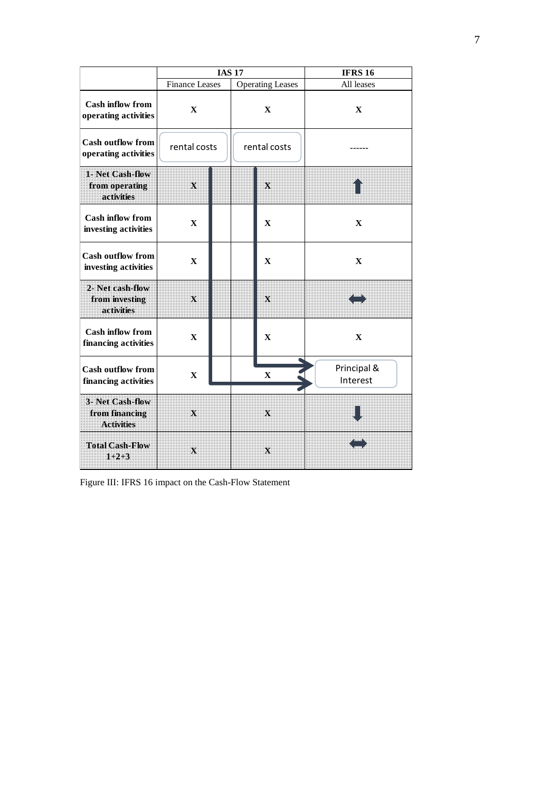|                                                         | <b>IAS 17</b>             |  |                         | <b>IFRS 16</b> |                         |  |
|---------------------------------------------------------|---------------------------|--|-------------------------|----------------|-------------------------|--|
|                                                         | <b>Finance Leases</b>     |  | <b>Operating Leases</b> |                | All leases              |  |
| <b>Cash inflow from</b><br>operating activities         | $\mathbf{x}$              |  | $\mathbf{X}$            |                | $\mathbf{X}$            |  |
| <b>Cash outflow from</b><br>operating activities        | rental costs              |  |                         | rental costs   |                         |  |
| 1-Net Cash-flow<br>from operating<br>activities         | $\boldsymbol{\mathsf{x}}$ |  |                         | $\mathbf x$    |                         |  |
| <b>Cash inflow from</b><br>investing activities         | $\mathbf{X}$              |  |                         | $\mathbf X$    | $\mathbf{X}$            |  |
| <b>Cash outflow from</b><br>investing activities        | $\mathbf{X}$              |  |                         | $\mathbf{X}$   | $\mathbf{X}$            |  |
| 2- Net cash-flow<br>from investing<br>activities        | $\mathbf{X}$              |  |                         | Х              |                         |  |
| <b>Cash inflow from</b><br>financing activities         | $\mathbf X$               |  |                         | $\mathbf X$    | X                       |  |
| <b>Cash outflow from</b><br>financing activities        | X                         |  |                         | $\mathbf X$    | Principal &<br>Interest |  |
| 3- Net Cash-flow<br>from financing<br><b>Activities</b> | $\mathbf x$               |  |                         | $\mathbf{X}$   |                         |  |
| <b>Total Cash-Flow</b><br>$1+2+3$                       | Х                         |  |                         | X.             |                         |  |

<span id="page-14-0"></span>Figure III: IFRS 16 impact on the Cash-Flow Statement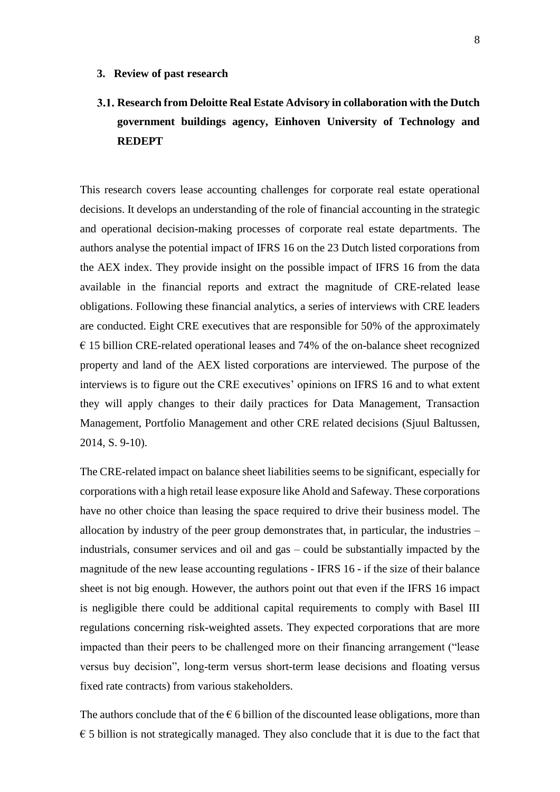## <span id="page-15-1"></span><span id="page-15-0"></span>**Research from Deloitte Real Estate Advisory in collaboration with the Dutch government buildings agency, Einhoven University of Technology and REDEPT**

This research covers lease accounting challenges for corporate real estate operational decisions. It develops an understanding of the role of financial accounting in the strategic and operational decision-making processes of corporate real estate departments. The authors analyse the potential impact of IFRS 16 on the 23 Dutch listed corporations from the AEX index. They provide insight on the possible impact of IFRS 16 from the data available in the financial reports and extract the magnitude of CRE-related lease obligations. Following these financial analytics, a series of interviews with CRE leaders are conducted. Eight CRE executives that are responsible for 50% of the approximately  $\epsilon$  15 billion CRE-related operational leases and 74% of the on-balance sheet recognized property and land of the AEX listed corporations are interviewed. The purpose of the interviews is to figure out the CRE executives' opinions on IFRS 16 and to what extent they will apply changes to their daily practices for Data Management, Transaction Management, Portfolio Management and other CRE related decisions (Sjuul Baltussen, 2014, S. 9-10).

The CRE-related impact on balance sheet liabilities seems to be significant, especially for corporations with a high retail lease exposure like Ahold and Safeway. These corporations have no other choice than leasing the space required to drive their business model. The allocation by industry of the peer group demonstrates that, in particular, the industries – industrials, consumer services and oil and gas – could be substantially impacted by the magnitude of the new lease accounting regulations - IFRS 16 - if the size of their balance sheet is not big enough. However, the authors point out that even if the IFRS 16 impact is negligible there could be additional capital requirements to comply with Basel III regulations concerning risk-weighted assets. They expected corporations that are more impacted than their peers to be challenged more on their financing arrangement ("lease versus buy decision", long-term versus short-term lease decisions and floating versus fixed rate contracts) from various stakeholders.

The authors conclude that of the  $\epsilon$  6 billion of the discounted lease obligations, more than  $\epsilon$  5 billion is not strategically managed. They also conclude that it is due to the fact that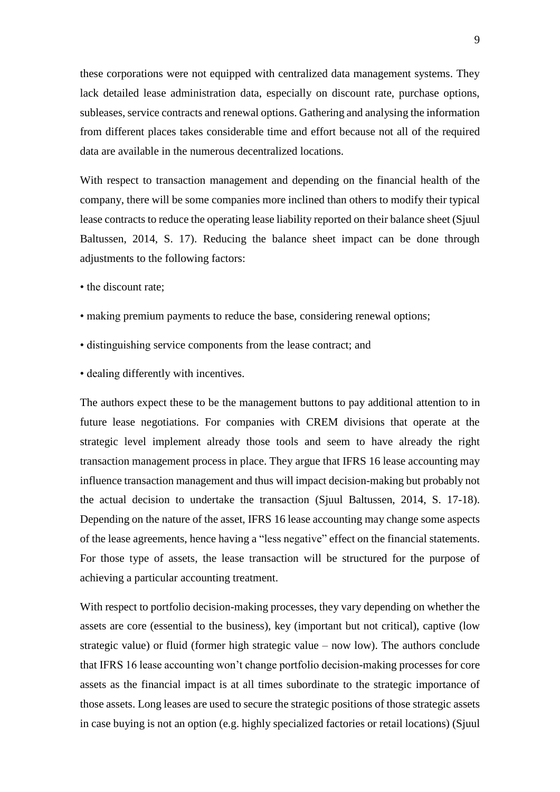these corporations were not equipped with centralized data management systems. They lack detailed lease administration data, especially on discount rate, purchase options, subleases, service contracts and renewal options. Gathering and analysing the information from different places takes considerable time and effort because not all of the required data are available in the numerous decentralized locations.

With respect to transaction management and depending on the financial health of the company, there will be some companies more inclined than others to modify their typical lease contracts to reduce the operating lease liability reported on their balance sheet (Sjuul Baltussen, 2014, S. 17). Reducing the balance sheet impact can be done through adjustments to the following factors:

- the discount rate;
- making premium payments to reduce the base, considering renewal options;
- distinguishing service components from the lease contract; and
- dealing differently with incentives.

The authors expect these to be the management buttons to pay additional attention to in future lease negotiations. For companies with CREM divisions that operate at the strategic level implement already those tools and seem to have already the right transaction management process in place. They argue that IFRS 16 lease accounting may influence transaction management and thus will impact decision-making but probably not the actual decision to undertake the transaction (Sjuul Baltussen, 2014, S. 17-18). Depending on the nature of the asset, IFRS 16 lease accounting may change some aspects of the lease agreements, hence having a "less negative" effect on the financial statements. For those type of assets, the lease transaction will be structured for the purpose of achieving a particular accounting treatment.

With respect to portfolio decision-making processes, they vary depending on whether the assets are core (essential to the business), key (important but not critical), captive (low strategic value) or fluid (former high strategic value – now low). The authors conclude that IFRS 16 lease accounting won't change portfolio decision-making processes for core assets as the financial impact is at all times subordinate to the strategic importance of those assets. Long leases are used to secure the strategic positions of those strategic assets in case buying is not an option (e.g. highly specialized factories or retail locations) (Sjuul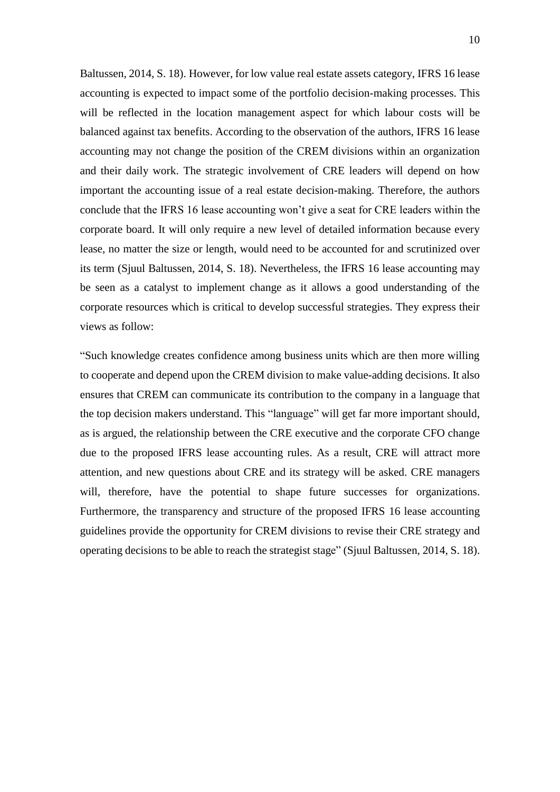Baltussen, 2014, S. 18). However, for low value real estate assets category, IFRS 16 lease accounting is expected to impact some of the portfolio decision-making processes. This will be reflected in the location management aspect for which labour costs will be balanced against tax benefits. According to the observation of the authors, IFRS 16 lease accounting may not change the position of the CREM divisions within an organization and their daily work. The strategic involvement of CRE leaders will depend on how important the accounting issue of a real estate decision-making. Therefore, the authors conclude that the IFRS 16 lease accounting won't give a seat for CRE leaders within the corporate board. It will only require a new level of detailed information because every lease, no matter the size or length, would need to be accounted for and scrutinized over its term (Sjuul Baltussen, 2014, S. 18). Nevertheless, the IFRS 16 lease accounting may be seen as a catalyst to implement change as it allows a good understanding of the corporate resources which is critical to develop successful strategies. They express their views as follow:

"Such knowledge creates confidence among business units which are then more willing to cooperate and depend upon the CREM division to make value-adding decisions. It also ensures that CREM can communicate its contribution to the company in a language that the top decision makers understand. This "language" will get far more important should, as is argued, the relationship between the CRE executive and the corporate CFO change due to the proposed IFRS lease accounting rules. As a result, CRE will attract more attention, and new questions about CRE and its strategy will be asked. CRE managers will, therefore, have the potential to shape future successes for organizations. Furthermore, the transparency and structure of the proposed IFRS 16 lease accounting guidelines provide the opportunity for CREM divisions to revise their CRE strategy and operating decisions to be able to reach the strategist stage" (Sjuul Baltussen, 2014, S. 18).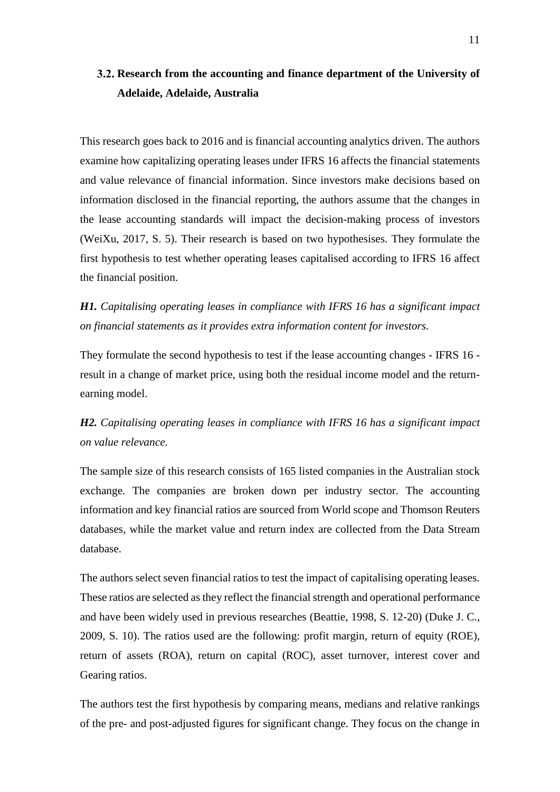## <span id="page-18-0"></span>**Research from the accounting and finance department of the University of Adelaide, Adelaide, Australia**

This research goes back to 2016 and is financial accounting analytics driven. The authors examine how capitalizing operating leases under IFRS 16 affects the financial statements and value relevance of financial information. Since investors make decisions based on information disclosed in the financial reporting, the authors assume that the changes in the lease accounting standards will impact the decision-making process of investors (WeiXu, 2017, S. 5). Their research is based on two hypothesises. They formulate the first hypothesis to test whether operating leases capitalised according to IFRS 16 affect the financial position.

### *H1. Capitalising operating leases in compliance with IFRS 16 has a significant impact on financial statements as it provides extra information content for investors.*

They formulate the second hypothesis to test if the lease accounting changes - IFRS 16 result in a change of market price, using both the residual income model and the returnearning model.

### *H2. Capitalising operating leases in compliance with IFRS 16 has a significant impact on value relevance.*

The sample size of this research consists of 165 listed companies in the Australian stock exchange. The companies are broken down per industry sector. The accounting information and key financial ratios are sourced from World scope and Thomson Reuters databases, while the market value and return index are collected from the Data Stream database.

The authors select seven financial ratios to test the impact of capitalising operating leases. These ratios are selected as they reflect the financial strength and operational performance and have been widely used in previous researches (Beattie, 1998, S. 12-20) (Duke J. C., 2009, S. 10). The ratios used are the following: profit margin, return of equity (ROE), return of assets (ROA), return on capital (ROC), asset turnover, interest cover and Gearing ratios.

The authors test the first hypothesis by comparing means, medians and relative rankings of the pre- and post-adjusted figures for significant change. They focus on the change in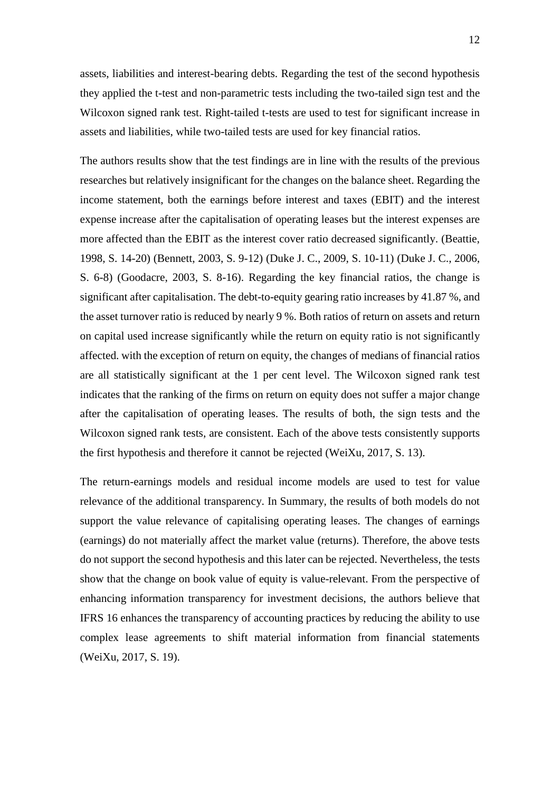assets, liabilities and interest-bearing debts. Regarding the test of the second hypothesis they applied the t-test and non-parametric tests including the two-tailed sign test and the Wilcoxon signed rank test. Right-tailed t-tests are used to test for significant increase in assets and liabilities, while two-tailed tests are used for key financial ratios.

The authors results show that the test findings are in line with the results of the previous researches but relatively insignificant for the changes on the balance sheet. Regarding the income statement, both the earnings before interest and taxes (EBIT) and the interest expense increase after the capitalisation of operating leases but the interest expenses are more affected than the EBIT as the interest cover ratio decreased significantly. (Beattie, 1998, S. 14-20) (Bennett, 2003, S. 9-12) (Duke J. C., 2009, S. 10-11) (Duke J. C., 2006, S. 6-8) (Goodacre, 2003, S. 8-16). Regarding the key financial ratios, the change is significant after capitalisation. The debt-to-equity gearing ratio increases by 41.87 %, and the asset turnover ratio is reduced by nearly 9 %. Both ratios of return on assets and return on capital used increase significantly while the return on equity ratio is not significantly affected. with the exception of return on equity, the changes of medians of financial ratios are all statistically significant at the 1 per cent level. The Wilcoxon signed rank test indicates that the ranking of the firms on return on equity does not suffer a major change after the capitalisation of operating leases. The results of both, the sign tests and the Wilcoxon signed rank tests, are consistent. Each of the above tests consistently supports the first hypothesis and therefore it cannot be rejected (WeiXu, 2017, S. 13).

The return-earnings models and residual income models are used to test for value relevance of the additional transparency. In Summary, the results of both models do not support the value relevance of capitalising operating leases. The changes of earnings (earnings) do not materially affect the market value (returns). Therefore, the above tests do not support the second hypothesis and this later can be rejected. Nevertheless, the tests show that the change on book value of equity is value-relevant. From the perspective of enhancing information transparency for investment decisions, the authors believe that IFRS 16 enhances the transparency of accounting practices by reducing the ability to use complex lease agreements to shift material information from financial statements (WeiXu, 2017, S. 19).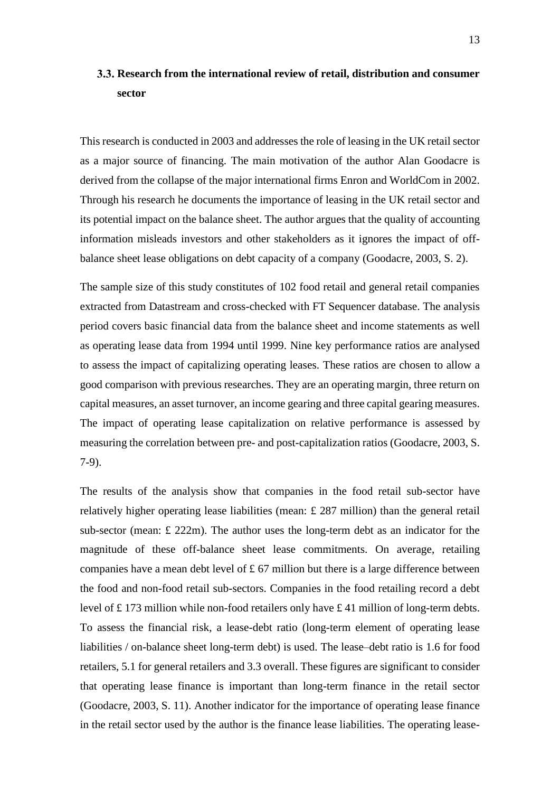## <span id="page-20-0"></span>**Research from the international review of retail, distribution and consumer sector**

This research is conducted in 2003 and addresses the role of leasing in the UK retail sector as a major source of financing. The main motivation of the author Alan Goodacre is derived from the collapse of the major international firms Enron and WorldCom in 2002. Through his research he documents the importance of leasing in the UK retail sector and its potential impact on the balance sheet. The author argues that the quality of accounting information misleads investors and other stakeholders as it ignores the impact of offbalance sheet lease obligations on debt capacity of a company (Goodacre, 2003, S. 2).

The sample size of this study constitutes of 102 food retail and general retail companies extracted from Datastream and cross-checked with FT Sequencer database. The analysis period covers basic financial data from the balance sheet and income statements as well as operating lease data from 1994 until 1999. Nine key performance ratios are analysed to assess the impact of capitalizing operating leases. These ratios are chosen to allow a good comparison with previous researches. They are an operating margin, three return on capital measures, an asset turnover, an income gearing and three capital gearing measures. The impact of operating lease capitalization on relative performance is assessed by measuring the correlation between pre- and post-capitalization ratios (Goodacre, 2003, S. 7-9).

The results of the analysis show that companies in the food retail sub-sector have relatively higher operating lease liabilities (mean: £ 287 million) than the general retail sub-sector (mean:  $\pounds$  222m). The author uses the long-term debt as an indicator for the magnitude of these off-balance sheet lease commitments. On average, retailing companies have a mean debt level of  $\pounds$  67 million but there is a large difference between the food and non-food retail sub-sectors. Companies in the food retailing record a debt level of £ 173 million while non-food retailers only have £ 41 million of long-term debts. To assess the financial risk, a lease-debt ratio (long-term element of operating lease liabilities / on-balance sheet long-term debt) is used. The lease–debt ratio is 1.6 for food retailers, 5.1 for general retailers and 3.3 overall. These figures are significant to consider that operating lease finance is important than long-term finance in the retail sector (Goodacre, 2003, S. 11). Another indicator for the importance of operating lease finance in the retail sector used by the author is the finance lease liabilities. The operating lease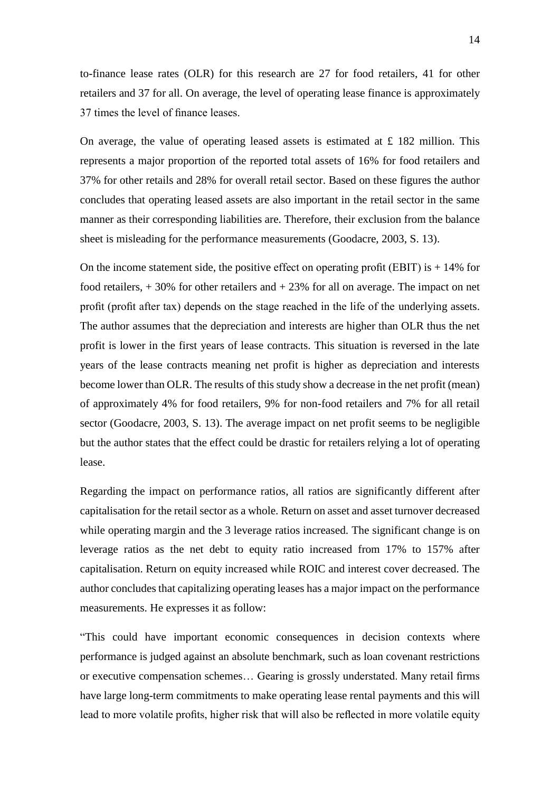to-finance lease rates (OLR) for this research are 27 for food retailers, 41 for other retailers and 37 for all. On average, the level of operating lease finance is approximately 37 times the level of finance leases.

On average, the value of operating leased assets is estimated at  $\pounds$  182 million. This represents a major proportion of the reported total assets of 16% for food retailers and 37% for other retails and 28% for overall retail sector. Based on these figures the author concludes that operating leased assets are also important in the retail sector in the same manner as their corresponding liabilities are. Therefore, their exclusion from the balance sheet is misleading for the performance measurements (Goodacre, 2003, S. 13).

On the income statement side, the positive effect on operating profit (EBIT) is  $+14\%$  for food retailers,  $+30\%$  for other retailers and  $+23\%$  for all on average. The impact on net profit (profit after tax) depends on the stage reached in the life of the underlying assets. The author assumes that the depreciation and interests are higher than OLR thus the net profit is lower in the first years of lease contracts. This situation is reversed in the late years of the lease contracts meaning net profit is higher as depreciation and interests become lower than OLR. The results of this study show a decrease in the net profit (mean) of approximately 4% for food retailers, 9% for non-food retailers and 7% for all retail sector (Goodacre, 2003, S. 13). The average impact on net profit seems to be negligible but the author states that the effect could be drastic for retailers relying a lot of operating lease.

Regarding the impact on performance ratios, all ratios are significantly different after capitalisation for the retail sector as a whole. Return on asset and asset turnover decreased while operating margin and the 3 leverage ratios increased. The significant change is on leverage ratios as the net debt to equity ratio increased from 17% to 157% after capitalisation. Return on equity increased while ROIC and interest cover decreased. The author concludes that capitalizing operating leases has a major impact on the performance measurements. He expresses it as follow:

"This could have important economic consequences in decision contexts where performance is judged against an absolute benchmark, such as loan covenant restrictions or executive compensation schemes… Gearing is grossly understated. Many retail firms have large long-term commitments to make operating lease rental payments and this will lead to more volatile profits, higher risk that will also be reflected in more volatile equity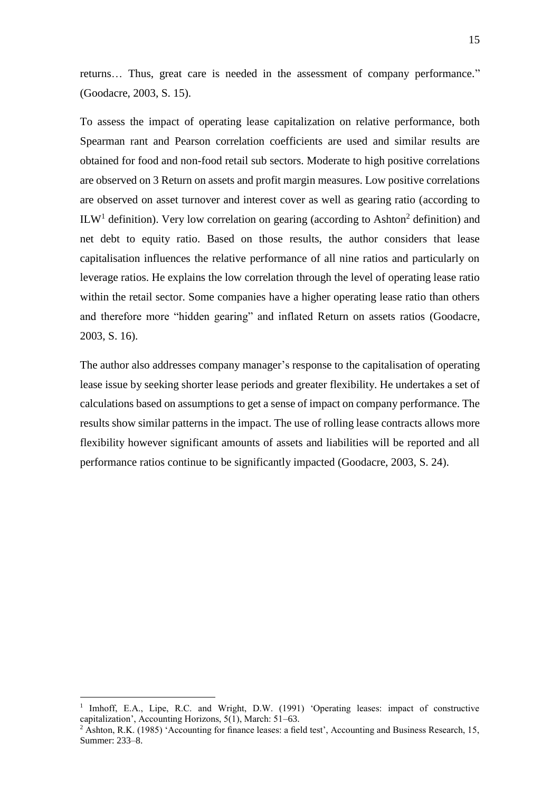returns… Thus, great care is needed in the assessment of company performance." (Goodacre, 2003, S. 15).

To assess the impact of operating lease capitalization on relative performance, both Spearman rant and Pearson correlation coefficients are used and similar results are obtained for food and non-food retail sub sectors. Moderate to high positive correlations are observed on 3 Return on assets and profit margin measures. Low positive correlations are observed on asset turnover and interest cover as well as gearing ratio (according to ILW<sup>1</sup> definition). Very low correlation on gearing (according to Ashton<sup>2</sup> definition) and net debt to equity ratio. Based on those results, the author considers that lease capitalisation influences the relative performance of all nine ratios and particularly on leverage ratios. He explains the low correlation through the level of operating lease ratio within the retail sector. Some companies have a higher operating lease ratio than others and therefore more "hidden gearing" and inflated Return on assets ratios (Goodacre, 2003, S. 16).

The author also addresses company manager's response to the capitalisation of operating lease issue by seeking shorter lease periods and greater flexibility. He undertakes a set of calculations based on assumptions to get a sense of impact on company performance. The results show similar patterns in the impact. The use of rolling lease contracts allows more flexibility however significant amounts of assets and liabilities will be reported and all performance ratios continue to be significantly impacted (Goodacre, 2003, S. 24).

<sup>1</sup> Imhoff, E.A., Lipe, R.C. and Wright, D.W. (1991) 'Operating leases: impact of constructive capitalization', Accounting Horizons, 5(1), March: 51–63.

<sup>2</sup> Ashton, R.K. (1985) 'Accounting for finance leases: a field test', Accounting and Business Research, 15, Summer: 233–8.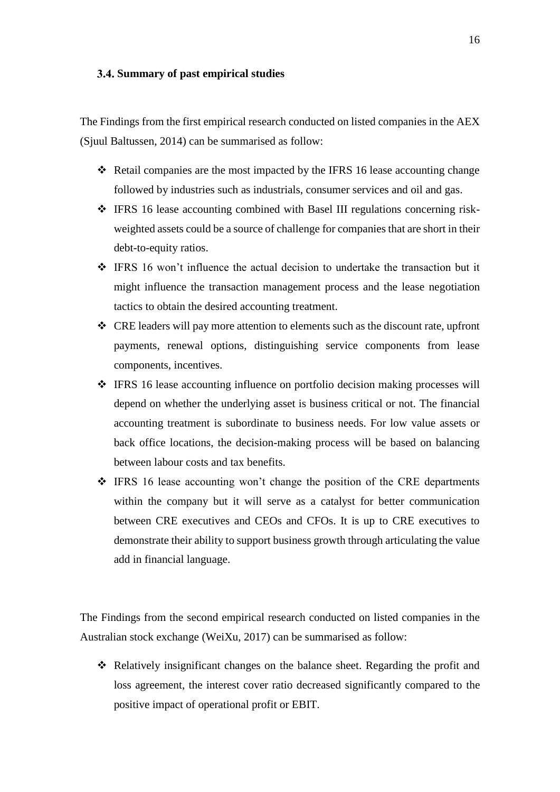#### <span id="page-23-0"></span>**Summary of past empirical studies**

The Findings from the first empirical research conducted on listed companies in the AEX (Sjuul Baltussen, 2014) can be summarised as follow:

- ❖ Retail companies are the most impacted by the IFRS 16 lease accounting change followed by industries such as industrials, consumer services and oil and gas.
- ❖ IFRS 16 lease accounting combined with Basel III regulations concerning riskweighted assets could be a source of challenge for companies that are short in their debt-to-equity ratios.
- ❖ IFRS 16 won't influence the actual decision to undertake the transaction but it might influence the transaction management process and the lease negotiation tactics to obtain the desired accounting treatment.
- ❖ CRE leaders will pay more attention to elements such as the discount rate, upfront payments, renewal options, distinguishing service components from lease components, incentives.
- ❖ IFRS 16 lease accounting influence on portfolio decision making processes will depend on whether the underlying asset is business critical or not. The financial accounting treatment is subordinate to business needs. For low value assets or back office locations, the decision-making process will be based on balancing between labour costs and tax benefits.
- ❖ IFRS 16 lease accounting won't change the position of the CRE departments within the company but it will serve as a catalyst for better communication between CRE executives and CEOs and CFOs. It is up to CRE executives to demonstrate their ability to support business growth through articulating the value add in financial language.

The Findings from the second empirical research conducted on listed companies in the Australian stock exchange (WeiXu, 2017) can be summarised as follow:

❖ Relatively insignificant changes on the balance sheet. Regarding the profit and loss agreement, the interest cover ratio decreased significantly compared to the positive impact of operational profit or EBIT.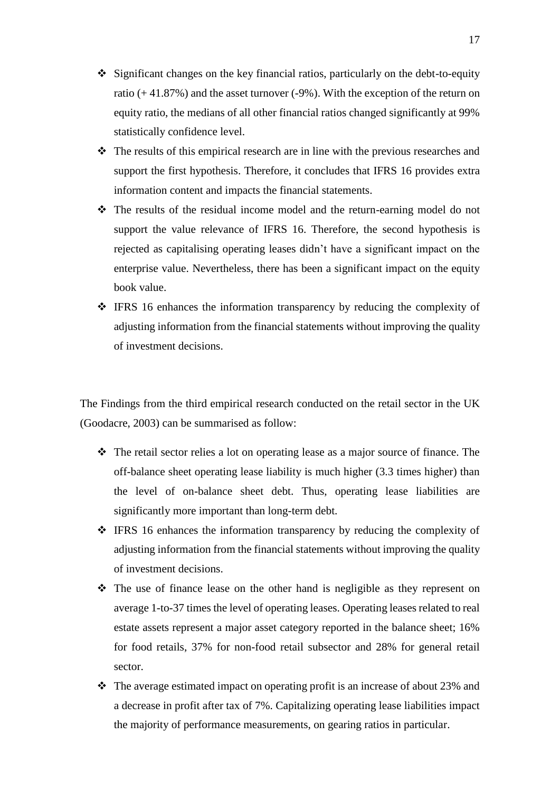- ❖ Significant changes on the key financial ratios, particularly on the debt-to-equity ratio  $(+41.87%)$  and the asset turnover  $(-9%)$ . With the exception of the return on equity ratio, the medians of all other financial ratios changed significantly at 99% statistically confidence level.
- ❖ The results of this empirical research are in line with the previous researches and support the first hypothesis. Therefore, it concludes that IFRS 16 provides extra information content and impacts the financial statements.
- ❖ The results of the residual income model and the return-earning model do not support the value relevance of IFRS 16. Therefore, the second hypothesis is rejected as capitalising operating leases didn't have a significant impact on the enterprise value. Nevertheless, there has been a significant impact on the equity book value.
- ❖ IFRS 16 enhances the information transparency by reducing the complexity of adjusting information from the financial statements without improving the quality of investment decisions.

The Findings from the third empirical research conducted on the retail sector in the UK (Goodacre, 2003) can be summarised as follow:

- ❖ The retail sector relies a lot on operating lease as a major source of finance. The off-balance sheet operating lease liability is much higher (3.3 times higher) than the level of on-balance sheet debt. Thus, operating lease liabilities are significantly more important than long-term debt.
- ❖ IFRS 16 enhances the information transparency by reducing the complexity of adjusting information from the financial statements without improving the quality of investment decisions.
- ❖ The use of finance lease on the other hand is negligible as they represent on average 1-to-37 times the level of operating leases. Operating leases related to real estate assets represent a major asset category reported in the balance sheet; 16% for food retails, 37% for non-food retail subsector and 28% for general retail sector.
- $\div$  The average estimated impact on operating profit is an increase of about 23% and a decrease in profit after tax of 7%. Capitalizing operating lease liabilities impact the majority of performance measurements, on gearing ratios in particular.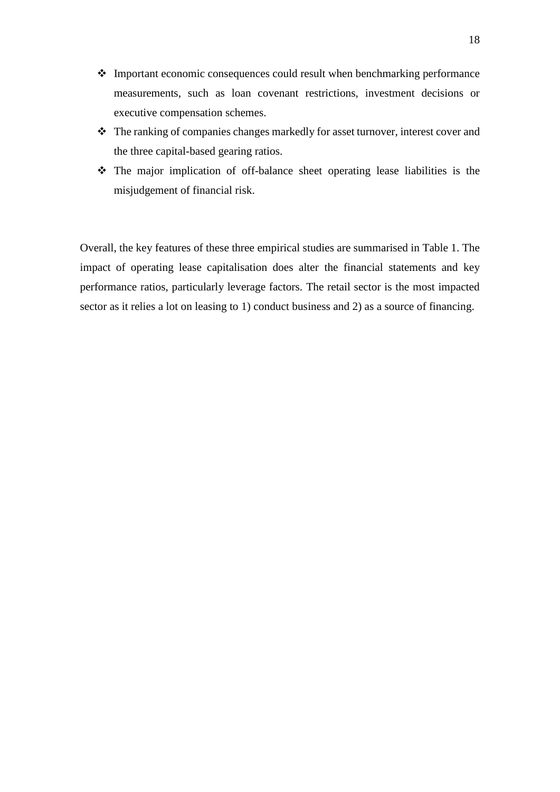- ❖ Important economic consequences could result when benchmarking performance measurements, such as loan covenant restrictions, investment decisions or executive compensation schemes.
- ❖ The ranking of companies changes markedly for asset turnover, interest cover and the three capital-based gearing ratios.
- ❖ The major implication of off-balance sheet operating lease liabilities is the misjudgement of financial risk.

Overall, the key features of these three empirical studies are summarised in Table 1. The impact of operating lease capitalisation does alter the financial statements and key performance ratios, particularly leverage factors. The retail sector is the most impacted sector as it relies a lot on leasing to 1) conduct business and 2) as a source of financing.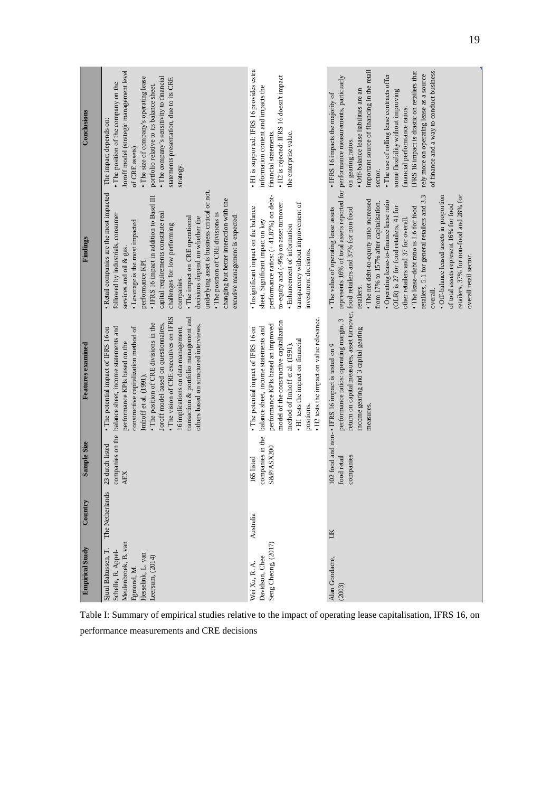| Conclusions            | Joroff model (strategic management level<br>The company's sensitivity to financial<br>· The size of company's operating lease<br>statements presentation, due to its CRE<br>• The position of the company on the<br>portfolio relative to its balance sheet.<br>The impact depends on:<br>of CRE assets).<br>strategy.                                                                                                                                                                                                                              | · H1 is supported: IFRS 16 provides extra<br>· H2 is rejected: IFRS 16 doesn't impact<br>information content and impacts the<br>financial statements.<br>the enterprise value.                                                                                                                    | important source of financing in the retail<br>of finance and a way to conduct business.<br>IFRS 16 impact is drastic on retailers that<br>rely more on operating lease as a source<br>· The use of rolling lease contracts offer<br>· Off-balance lease liabilities are an<br>some flexibility without improving<br>• IFRS 16 impacts the majority of<br>financial performance ratios.<br>on gearing ratios.<br>sector.                                                                                                                                                                                                      |
|------------------------|-----------------------------------------------------------------------------------------------------------------------------------------------------------------------------------------------------------------------------------------------------------------------------------------------------------------------------------------------------------------------------------------------------------------------------------------------------------------------------------------------------------------------------------------------------|---------------------------------------------------------------------------------------------------------------------------------------------------------------------------------------------------------------------------------------------------------------------------------------------------|-------------------------------------------------------------------------------------------------------------------------------------------------------------------------------------------------------------------------------------------------------------------------------------------------------------------------------------------------------------------------------------------------------------------------------------------------------------------------------------------------------------------------------------------------------------------------------------------------------------------------------|
| Findings               | underlying asset is business critical or not.<br>· Retail companies are the most impacted<br>• IFRS 16 impact in addition to Basel III<br>changing but better interaction with the<br>capital requirements constitute real<br>followed by industrials, consumer<br>· The position of CRE divisions is<br>excutive management is expected.<br>• The impact on CRE operational<br>decisions depend on whether the<br>• Leverage is the most impacted<br>challenges for low performing<br>services and oil $\&$ gas.<br>performance KPI.<br>companies. | performance ratios: (+41.87%) on debt-<br>to-equity and (-9%) on asset turnover.<br>transparency without improvement of<br>· Insignificant impact on the balance<br>sheet. Significant impact on key<br>· Enhancement of information<br>investment decisions.                                     | represents 16% of total assets reported for performance measurements, particuarly<br>retailers, 37% for non-food and 28% for<br>retailers, 5.1 for general retailers and 3.3<br>· Off-balance leased assets in proportion<br>• The net debt-to-equity ratio increased<br>· Operating lease-to-finance lease ratio<br>from 17% to 157% after capitalisation.<br>of total assets represent 16% for food<br>(OLR) is 27 for food retailers, 41 for<br>· The lease-debt ratio is 1.6 for food<br>· The value of operating lease assets<br>other retailers and 37 for overall.<br>overall retail sector.<br>retailers.<br>over all |
| Features examined      | • The vision of CRE executives on IFRS<br>transaction & portfolio management and<br>· The position of CRE divisions in the<br>Joroff model based on questionnaires.<br>others based on structured interviews.<br>balance sheet, income statements and<br>16 implications on data management,<br>constructive capitalization method of<br>• The potential impact of IFRS 16 on<br>performance KPIs based on the<br>Imhoff et al. (1991).                                                                                                             | • H2 tests the impact on value relevance<br>model of the constructive capitalization<br>performance KPIs based an improved<br>balance sheet, income statements and<br>• The potential impact of IFRS 16 on<br>• H1 tests the impact on financial<br>method of Imhoff et al. (1991).<br>positions. | return on capital measures, asset turnover, food retailers and 37% for non food<br>performance ratios: operating margin, 3<br>income gearing and 3 capital gearing<br>102 food and non-• IFRS 16 impact is tested on 9<br>measures                                                                                                                                                                                                                                                                                                                                                                                            |
| Sample Size            | companies on the<br>23 dutch listed<br><b>AEX</b>                                                                                                                                                                                                                                                                                                                                                                                                                                                                                                   | companies in the<br><b>S&amp;P/ASX200</b><br>165 listed                                                                                                                                                                                                                                           | companies<br>food retail                                                                                                                                                                                                                                                                                                                                                                                                                                                                                                                                                                                                      |
| Country                | The Netherlands                                                                                                                                                                                                                                                                                                                                                                                                                                                                                                                                     | Australia                                                                                                                                                                                                                                                                                         | ÜК                                                                                                                                                                                                                                                                                                                                                                                                                                                                                                                                                                                                                            |
| <b>Empirical Study</b> | Meulenbroek, B. van<br>Sjuul Baltussen, T.<br>Schelle, R. Appel-<br>Hesselink, L. van<br>Leersum, (2014)<br>Egmond, M.                                                                                                                                                                                                                                                                                                                                                                                                                              | Seng Cheong, (2017)<br>Davidson, Chee<br>Wei Xu, R. A.                                                                                                                                                                                                                                            | Alan Goodacre,<br>(2003)                                                                                                                                                                                                                                                                                                                                                                                                                                                                                                                                                                                                      |

<span id="page-26-0"></span>Table I: Summary of empirical studies relative to the impact of operating lease capitalisation, IFRS 16, on performance measurements and CRE decisions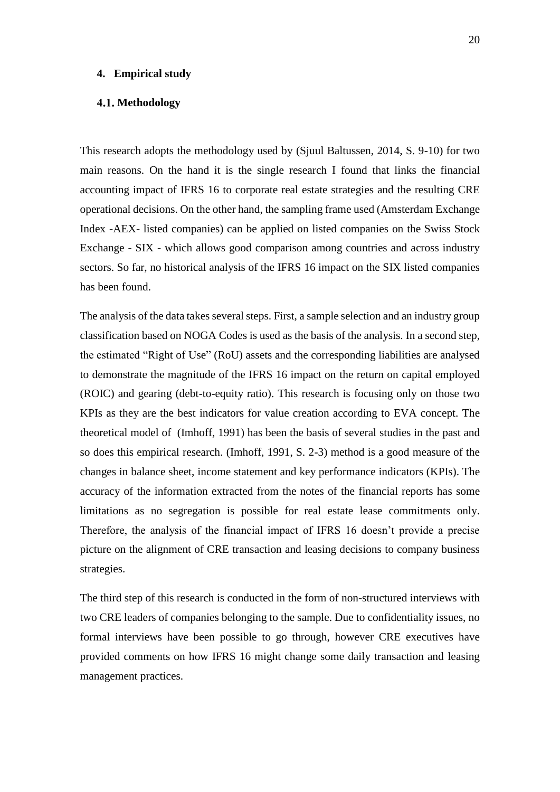#### <span id="page-27-0"></span>**4. Empirical study**

#### <span id="page-27-1"></span>**Methodology**

This research adopts the methodology used by (Sjuul Baltussen, 2014, S. 9-10) for two main reasons. On the hand it is the single research I found that links the financial accounting impact of IFRS 16 to corporate real estate strategies and the resulting CRE operational decisions. On the other hand, the sampling frame used (Amsterdam Exchange Index -AEX- listed companies) can be applied on listed companies on the Swiss Stock Exchange - SIX - which allows good comparison among countries and across industry sectors. So far, no historical analysis of the IFRS 16 impact on the SIX listed companies has been found.

The analysis of the data takes several steps. First, a sample selection and an industry group classification based on NOGA Codes is used as the basis of the analysis. In a second step, the estimated "Right of Use" (RoU) assets and the corresponding liabilities are analysed to demonstrate the magnitude of the IFRS 16 impact on the return on capital employed (ROIC) and gearing (debt-to-equity ratio). This research is focusing only on those two KPIs as they are the best indicators for value creation according to EVA concept. The theoretical model of (Imhoff, 1991) has been the basis of several studies in the past and so does this empirical research. (Imhoff, 1991, S. 2-3) method is a good measure of the changes in balance sheet, income statement and key performance indicators (KPIs). The accuracy of the information extracted from the notes of the financial reports has some limitations as no segregation is possible for real estate lease commitments only. Therefore, the analysis of the financial impact of IFRS 16 doesn't provide a precise picture on the alignment of CRE transaction and leasing decisions to company business strategies.

The third step of this research is conducted in the form of non-structured interviews with two CRE leaders of companies belonging to the sample. Due to confidentiality issues, no formal interviews have been possible to go through, however CRE executives have provided comments on how IFRS 16 might change some daily transaction and leasing management practices.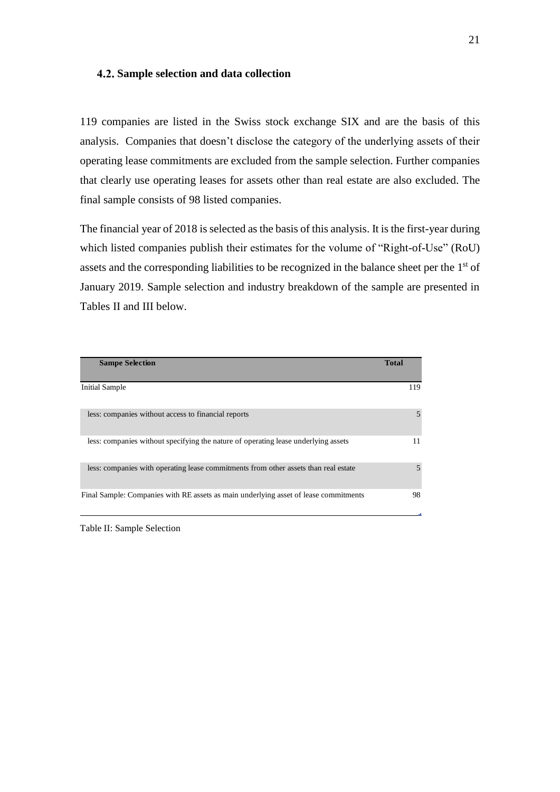#### <span id="page-28-0"></span>**Sample selection and data collection**

119 companies are listed in the Swiss stock exchange SIX and are the basis of this analysis. Companies that doesn't disclose the category of the underlying assets of their operating lease commitments are excluded from the sample selection. Further companies that clearly use operating leases for assets other than real estate are also excluded. The final sample consists of 98 listed companies.

The financial year of 2018 is selected as the basis of this analysis. It is the first-year during which listed companies publish their estimates for the volume of "Right-of-Use" (RoU) assets and the corresponding liabilities to be recognized in the balance sheet per the 1<sup>st</sup> of January 2019. Sample selection and industry breakdown of the sample are presented in Tables II and III below.

| <b>Sampe Selection</b>                                                               | <b>Total</b> |
|--------------------------------------------------------------------------------------|--------------|
| <b>Initial Sample</b>                                                                | 119          |
| less: companies without access to financial reports                                  | 5            |
| less: companies without specifying the nature of operating lease underlying assets   | 11           |
| less: companies with operating lease commitments from other assets than real estate  | 5            |
| Final Sample: Companies with RE assets as main underlying asset of lease commitments | 98           |

<span id="page-28-1"></span>Table II: Sample Selection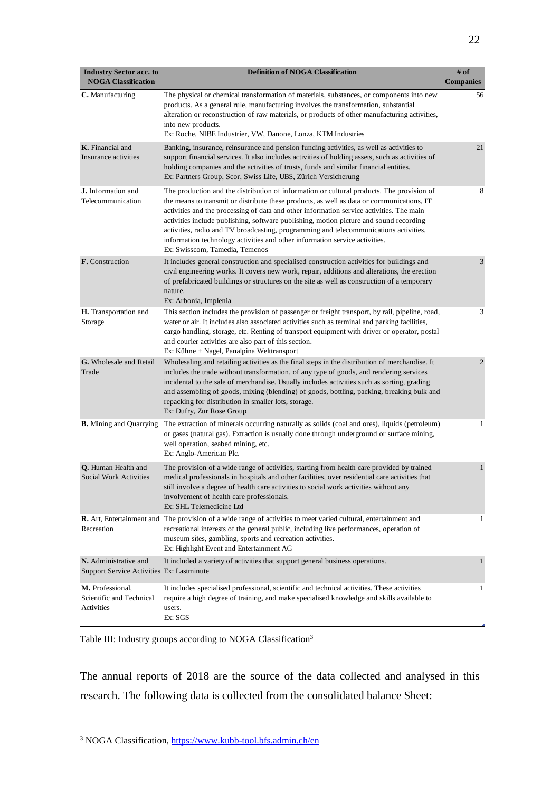| <b>Industry Sector acc. to</b><br><b>NOGA Classification</b>       | <b>Definition of NOGA Classification</b>                                                                                                                                                                                                                                                                                                                                                                                                                                                                                                                                               | # of<br><b>Companies</b> |
|--------------------------------------------------------------------|----------------------------------------------------------------------------------------------------------------------------------------------------------------------------------------------------------------------------------------------------------------------------------------------------------------------------------------------------------------------------------------------------------------------------------------------------------------------------------------------------------------------------------------------------------------------------------------|--------------------------|
| C. Manufacturing                                                   | The physical or chemical transformation of materials, substances, or components into new<br>products. As a general rule, manufacturing involves the transformation, substantial<br>alteration or reconstruction of raw materials, or products of other manufacturing activities,<br>into new products.<br>Ex: Roche, NIBE Industrier, VW, Danone, Lonza, KTM Industries                                                                                                                                                                                                                | 56                       |
| K. Financial and<br>Insurance activities                           | Banking, insurance, reinsurance and pension funding activities, as well as activities to<br>support financial services. It also includes activities of holding assets, such as activities of<br>holding companies and the activities of trusts, funds and similar financial entities.<br>Ex: Partners Group, Scor, Swiss Life, UBS, Zürich Versicherung                                                                                                                                                                                                                                | 21                       |
| <b>J.</b> Information and<br>Telecommunication                     | The production and the distribution of information or cultural products. The provision of<br>the means to transmit or distribute these products, as well as data or communications, IT<br>activities and the processing of data and other information service activities. The main<br>activities include publishing, software publishing, motion picture and sound recording<br>activities, radio and TV broadcasting, programming and telecommunications activities,<br>information technology activities and other information service activities.<br>Ex: Swisscom, Tamedia, Temenos | 8                        |
| F. Construction                                                    | It includes general construction and specialised construction activities for buildings and<br>civil engineering works. It covers new work, repair, additions and alterations, the erection<br>of prefabricated buildings or structures on the site as well as construction of a temporary<br>nature.<br>Ex: Arbonia, Implenia                                                                                                                                                                                                                                                          | 3                        |
| H. Transportation and<br>Storage                                   | This section includes the provision of passenger or freight transport, by rail, pipeline, road,<br>water or air. It includes also associated activities such as terminal and parking facilities,<br>cargo handling, storage, etc. Renting of transport equipment with driver or operator, postal<br>and courier activities are also part of this section.<br>Ex: Kühne + Nagel, Panalpina Welttransport                                                                                                                                                                                | 3                        |
| G. Wholesale and Retail<br>Trade                                   | Wholesaling and retailing activities as the final steps in the distribution of merchandise. It<br>includes the trade without transformation, of any type of goods, and rendering services<br>incidental to the sale of merchandise. Usually includes activities such as sorting, grading<br>and assembling of goods, mixing (blending) of goods, bottling, packing, breaking bulk and<br>repacking for distribution in smaller lots, storage.<br>Ex: Dufry, Zur Rose Group                                                                                                             | 2                        |
| <b>B.</b> Mining and Quarrying                                     | The extraction of minerals occurring naturally as solids (coal and ores), liquids (petroleum)<br>or gases (natural gas). Extraction is usually done through underground or surface mining,<br>well operation, seabed mining, etc.<br>Ex: Anglo-American Plc.                                                                                                                                                                                                                                                                                                                           | 1                        |
| Q. Human Health and<br><b>Social Work Activities</b>               | The provision of a wide range of activities, starting from health care provided by trained<br>medical professionals in hospitals and other facilities, over residential care activities that<br>still involve a degree of health care activities to social work activities without any<br>involvement of health care professionals.<br>Ex: SHL Telemedicine Ltd                                                                                                                                                                                                                        | $\mathbf{1}$             |
| Recreation                                                         | <b>R.</b> Art, Entertainment and The provision of a wide range of activities to meet varied cultural, entertainment and<br>recreational interests of the general public, including live performances, operation of<br>museum sites, gambling, sports and recreation activities.<br>Ex: Highlight Event and Entertainment AG                                                                                                                                                                                                                                                            | 1                        |
| N. Administrative and<br>Support Service Activities Ex: Lastminute | It included a variety of activities that support general business operations.                                                                                                                                                                                                                                                                                                                                                                                                                                                                                                          | $\mathbf{1}$             |
| M. Professional,<br>Scientific and Technical<br>Activities         | It includes specialised professional, scientific and technical activities. These activities<br>require a high degree of training, and make specialised knowledge and skills available to<br>users.<br>Ex: SGS                                                                                                                                                                                                                                                                                                                                                                          | 1                        |

<span id="page-29-0"></span>Table III: Industry groups according to NOGA Classification<sup>3</sup>

The annual reports of 2018 are the source of the data collected and analysed in this research. The following data is collected from the consolidated balance Sheet:

<sup>&</sup>lt;sup>3</sup> NOGA Classification, <https://www.kubb-tool.bfs.admin.ch/en>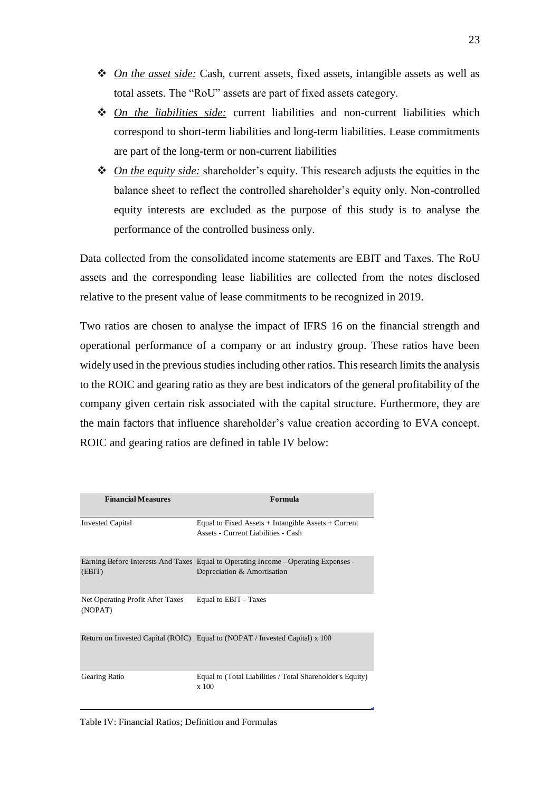- ❖ *On the asset side:* Cash, current assets, fixed assets, intangible assets as well as total assets. The "RoU" assets are part of fixed assets category.
- ❖ *On the liabilities side:* current liabilities and non-current liabilities which correspond to short-term liabilities and long-term liabilities. Lease commitments are part of the long-term or non-current liabilities
- ❖ *On the equity side:* shareholder's equity. This research adjusts the equities in the balance sheet to reflect the controlled shareholder's equity only. Non-controlled equity interests are excluded as the purpose of this study is to analyse the performance of the controlled business only.

Data collected from the consolidated income statements are EBIT and Taxes. The RoU assets and the corresponding lease liabilities are collected from the notes disclosed relative to the present value of lease commitments to be recognized in 2019.

Two ratios are chosen to analyse the impact of IFRS 16 on the financial strength and operational performance of a company or an industry group. These ratios have been widely used in the previous studies including other ratios. This research limits the analysis to the ROIC and gearing ratio as they are best indicators of the general profitability of the company given certain risk associated with the capital structure. Furthermore, they are the main factors that influence shareholder's value creation according to EVA concept. ROIC and gearing ratios are defined in table IV below:

<span id="page-30-0"></span>

| <b>Financial Measures</b>                           | Formula                                                                                                            |
|-----------------------------------------------------|--------------------------------------------------------------------------------------------------------------------|
| <b>Invested Capital</b>                             | Equal to Fixed Assets $+$ Intangible Assets $+$ Current<br>Assets - Current Liabilities - Cash                     |
| (EBIT)                                              | Earning Before Interests And Taxes Equal to Operating Income - Operating Expenses -<br>Depreciation & Amortisation |
| Net Operating Profit After Taxes<br>(NOPAT)         | Equal to EBIT - Taxes                                                                                              |
|                                                     | Return on Invested Capital (ROIC) Equal to (NOPAT / Invested Capital) x 100                                        |
| Gearing Ratio                                       | Equal to (Total Liabilities / Total Shareholder's Equity)<br>x 100                                                 |
| Table IV: Financial Ratios; Definition and Formulas |                                                                                                                    |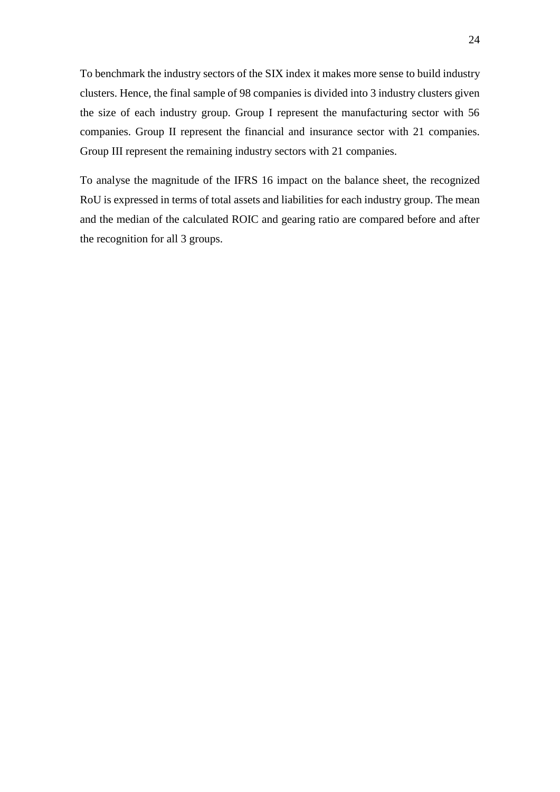To benchmark the industry sectors of the SIX index it makes more sense to build industry clusters. Hence, the final sample of 98 companies is divided into 3 industry clusters given the size of each industry group. Group I represent the manufacturing sector with 56 companies. Group II represent the financial and insurance sector with 21 companies. Group III represent the remaining industry sectors with 21 companies.

To analyse the magnitude of the IFRS 16 impact on the balance sheet, the recognized RoU is expressed in terms of total assets and liabilities for each industry group. The mean and the median of the calculated ROIC and gearing ratio are compared before and after the recognition for all 3 groups.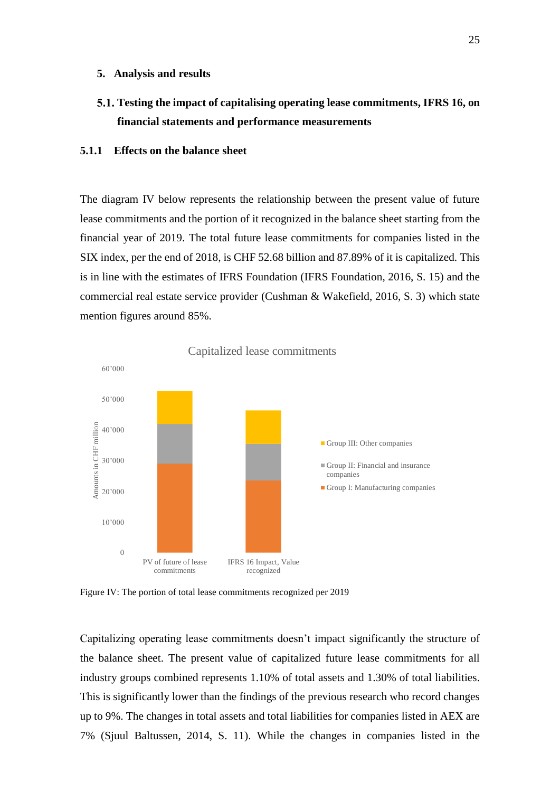#### <span id="page-32-0"></span>**5. Analysis and results**

<span id="page-32-1"></span>**Testing the impact of capitalising operating lease commitments, IFRS 16, on financial statements and performance measurements**

#### <span id="page-32-2"></span>**5.1.1 Effects on the balance sheet**

The diagram IV below represents the relationship between the present value of future lease commitments and the portion of it recognized in the balance sheet starting from the financial year of 2019. The total future lease commitments for companies listed in the SIX index, per the end of 2018, is CHF 52.68 billion and 87.89% of it is capitalized. This is in line with the estimates of IFRS Foundation (IFRS Foundation, 2016, S. 15) and the commercial real estate service provider (Cushman & Wakefield, 2016, S. 3) which state mention figures around 85%.



<span id="page-32-3"></span>Figure IV: The portion of total lease commitments recognized per 2019

Capitalizing operating lease commitments doesn't impact significantly the structure of the balance sheet. The present value of capitalized future lease commitments for all industry groups combined represents 1.10% of total assets and 1.30% of total liabilities. This is significantly lower than the findings of the previous research who record changes up to 9%. The changes in total assets and total liabilities for companies listed in AEX are 7% (Sjuul Baltussen, 2014, S. 11). While the changes in companies listed in the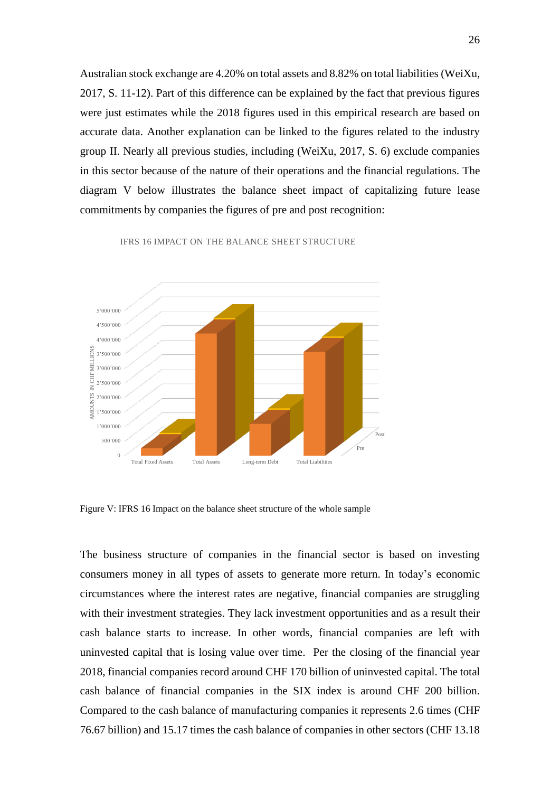Australian stock exchange are 4.20% on total assets and 8.82% on total liabilities (WeiXu, 2017, S. 11-12). Part of this difference can be explained by the fact that previous figures were just estimates while the 2018 figures used in this empirical research are based on accurate data. Another explanation can be linked to the figures related to the industry group II. Nearly all previous studies, including (WeiXu, 2017, S. 6) exclude companies in this sector because of the nature of their operations and the financial regulations. The diagram V below illustrates the balance sheet impact of capitalizing future lease commitments by companies the figures of pre and post recognition:

 $\sqrt{p_{\rm re}}$ Post  $\Omega$ 500'000 1'000'000  $\frac{1}{2}$  1'500'000  $\frac{10}{7}$  2'000'000 2'500'000  $\Xi$  3'000'000 3'500'000 4'000'000 4'500'000 5'000'000 Total Fixed Assets Total Assets Long-term Debt Total Liabilities AMOUNTS IN CHARGES Total Assets Long-term Debt Total Liabilities

IFRS 16 IMPACT ON THE BALANCE SHEET STRUCTURE

<span id="page-33-0"></span>Figure V: IFRS 16 Impact on the balance sheet structure of the whole sample

The business structure of companies in the financial sector is based on investing consumers money in all types of assets to generate more return. In today's economic circumstances where the interest rates are negative, financial companies are struggling with their investment strategies. They lack investment opportunities and as a result their cash balance starts to increase. In other words, financial companies are left with uninvested capital that is losing value over time. Per the closing of the financial year 2018, financial companies record around CHF 170 billion of uninvested capital. The total cash balance of financial companies in the SIX index is around CHF 200 billion. Compared to the cash balance of manufacturing companies it represents 2.6 times (CHF 76.67 billion) and 15.17 times the cash balance of companies in other sectors (CHF 13.18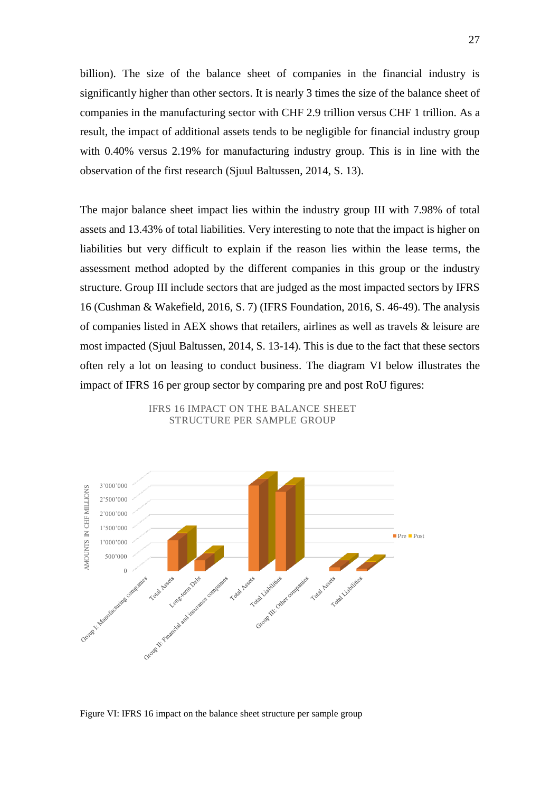billion). The size of the balance sheet of companies in the financial industry is significantly higher than other sectors. It is nearly 3 times the size of the balance sheet of companies in the manufacturing sector with CHF 2.9 trillion versus CHF 1 trillion. As a result, the impact of additional assets tends to be negligible for financial industry group with 0.40% versus 2.19% for manufacturing industry group. This is in line with the observation of the first research (Sjuul Baltussen, 2014, S. 13).

The major balance sheet impact lies within the industry group III with 7.98% of total assets and 13.43% of total liabilities. Very interesting to note that the impact is higher on liabilities but very difficult to explain if the reason lies within the lease terms, the assessment method adopted by the different companies in this group or the industry structure. Group III include sectors that are judged as the most impacted sectors by IFRS 16 (Cushman & Wakefield, 2016, S. 7) (IFRS Foundation, 2016, S. 46-49). The analysis of companies listed in AEX shows that retailers, airlines as well as travels & leisure are most impacted (Sjuul Baltussen, 2014, S. 13-14). This is due to the fact that these sectors often rely a lot on leasing to conduct business. The diagram VI below illustrates the impact of IFRS 16 per group sector by comparing pre and post RoU figures:



IFRS 16 IMPACT ON THE BALANCE SHEET STRUCTURE PER SAMPLE GROUP

<span id="page-34-0"></span>Figure VI: IFRS 16 impact on the balance sheet structure per sample group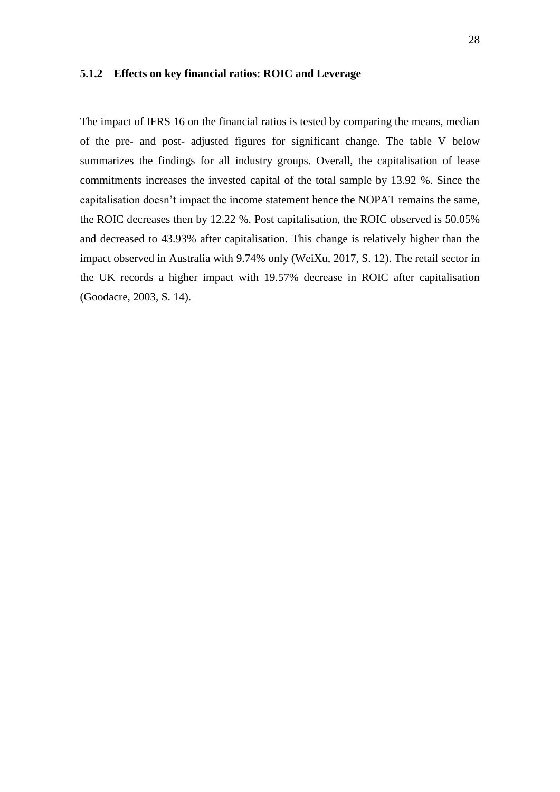#### <span id="page-35-0"></span>**5.1.2 Effects on key financial ratios: ROIC and Leverage**

The impact of IFRS 16 on the financial ratios is tested by comparing the means, median of the pre- and post- adjusted figures for significant change. The table V below summarizes the findings for all industry groups. Overall, the capitalisation of lease commitments increases the invested capital of the total sample by 13.92 %. Since the capitalisation doesn't impact the income statement hence the NOPAT remains the same, the ROIC decreases then by 12.22 %. Post capitalisation, the ROIC observed is 50.05% and decreased to 43.93% after capitalisation. This change is relatively higher than the impact observed in Australia with 9.74% only (WeiXu, 2017, S. 12). The retail sector in the UK records a higher impact with 19.57% decrease in ROIC after capitalisation (Goodacre, 2003, S. 14).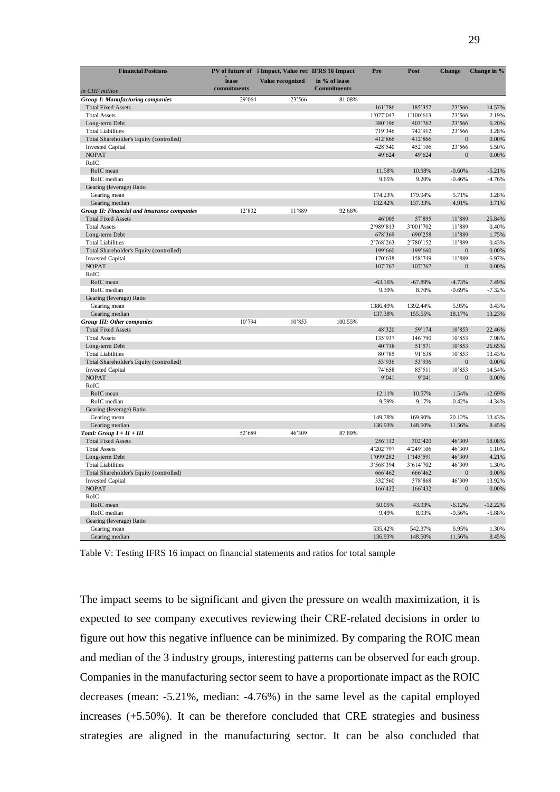| <b>Financial Positions</b>                          |                      | PV of future of 5 Impact, Value rec IFRS 16 Impact |                                     | Pre        | Post       | <b>Change</b>  | Change in % |
|-----------------------------------------------------|----------------------|----------------------------------------------------|-------------------------------------|------------|------------|----------------|-------------|
|                                                     | lease<br>commitments | Value recognized                                   | in % of lease<br><b>Commitments</b> |            |            |                |             |
| in CHF million                                      | 29'064               |                                                    |                                     |            |            |                |             |
| Group I: Manufacturing companies                    |                      | 23'566                                             | 81.08%                              |            |            |                |             |
| <b>Total Fixed Assets</b>                           |                      |                                                    |                                     | 161'786    | 185'352    | 23'566         | 14.57%      |
| <b>Total Assets</b>                                 |                      |                                                    |                                     | 1'077'047  | 1'100'613  | 23'566         | 2.19%       |
| Long-term Debt                                      |                      |                                                    |                                     | 380'196    | 403'762    | 23'566         | 6.20%       |
| <b>Total Liabilities</b>                            |                      |                                                    |                                     | 719'346    | 742'912    | 23'566         | 3.28%       |
| Total Shareholder's Equity (controlled)             |                      |                                                    |                                     | 412'866    | 412'866    | $\Omega$       | 0.00%       |
| <b>Invested Capital</b>                             |                      |                                                    |                                     | 428'540    | 452'106    | 23'566         | 5.50%       |
| <b>NOPAT</b><br>RoIC                                |                      |                                                    |                                     | 49'624     | 49'624     | $\Omega$       | 0.00%       |
| RoIC mean                                           |                      |                                                    |                                     | 11.58%     | 10.98%     | $-0.60%$       | $-5.21%$    |
| RoIC median                                         |                      |                                                    |                                     | 9.65%      | 9.20%      | $-0.46%$       | $-4.76%$    |
| Gearing (leverage) Ratio                            |                      |                                                    |                                     |            |            |                |             |
| Gearing mean                                        |                      |                                                    |                                     | 174.23%    | 179.94%    | 5.71%          | 3.28%       |
| Gearing median                                      |                      |                                                    |                                     | 132.42%    | 137.33%    | 4.91%          | 3.71%       |
| Group II: Financial and insurance companies         | 12'832               | 11'889                                             | 92.66%                              |            |            |                |             |
| <b>Total Fixed Assets</b>                           |                      |                                                    |                                     | 46'005     | 57'895     | 11'889         | 25.84%      |
| <b>Total Assets</b>                                 |                      |                                                    |                                     | 2'989'813  | 3'001'702  | 11'889         | 0.40%       |
| Long-term Debt                                      |                      |                                                    |                                     | 678'369    | 690'258    | 11'889         | 1.75%       |
| <b>Total Liabilities</b>                            |                      |                                                    |                                     | 2'768'263  | 2'780'152  | 11'889         | 0.43%       |
| Total Shareholder's Equity (controlled)             |                      |                                                    |                                     | 199'660    | 199'660    | $\overline{0}$ | 0.00%       |
| <b>Invested Capital</b>                             |                      |                                                    |                                     | $-170'638$ | $-158'749$ | 11'889         | $-6.97%$    |
| <b>NOPAT</b>                                        |                      |                                                    |                                     | 107'767    | 107'767    | $\overline{0}$ | 0.00%       |
| RoIC                                                |                      |                                                    |                                     |            |            |                |             |
| RoIC mean                                           |                      |                                                    |                                     | $-63.16%$  | $-67.89%$  | $-4.73%$       | 7.49%       |
| RoIC median                                         |                      |                                                    |                                     | 9.39%      | 8.70%      | $-0.69%$       | $-7.32%$    |
|                                                     |                      |                                                    |                                     |            |            |                |             |
| Gearing (leverage) Ratio<br>Gearing mean            |                      |                                                    |                                     | 1386.49%   | 1392.44%   | 5.95%          | 0.43%       |
|                                                     |                      |                                                    |                                     | 137.38%    |            |                | 13.23%      |
| Gearing median<br><b>Group III: Other companies</b> | 10'794               | 10'853                                             | 100.55%                             |            | 155.55%    | 18.17%         |             |
| <b>Total Fixed Assets</b>                           |                      |                                                    |                                     | 48'320     | 59'174     | 10'853         | 22.46%      |
| <b>Total Assets</b>                                 |                      |                                                    |                                     | 135'937    | 146'790    | 10'853         | 7.98%       |
| Long-term Debt                                      |                      |                                                    |                                     | 40'718     | 51'571     | 10'853         | 26.65%      |
| <b>Total Liabilities</b>                            |                      |                                                    |                                     | 80'785     | 91'638     | 10'853         | 13.43%      |
| Total Shareholder's Equity (controlled)             |                      |                                                    |                                     | 53'936     | 53'936     | $\overline{0}$ | 0.00%       |
| <b>Invested Capital</b>                             |                      |                                                    |                                     | 74'658     | 85'511     | 10'853         | 14.54%      |
| <b>NOPAT</b>                                        |                      |                                                    |                                     | 9'041      | 9'041      | $\overline{0}$ | 0.00%       |
| RoIC                                                |                      |                                                    |                                     |            |            |                |             |
| RoIC mean                                           |                      |                                                    |                                     | 12.11%     | 10.57%     | $-1.54%$       | $-12.69%$   |
| RoIC median                                         |                      |                                                    |                                     | 9.59%      | 9.17%      | $-0.42%$       | $-4.34%$    |
| Gearing (leverage) Ratio                            |                      |                                                    |                                     |            |            |                |             |
| Gearing mean                                        |                      |                                                    |                                     | 149.78%    | 169.90%    | 20.12%         | 13.43%      |
| Gearing median                                      |                      |                                                    |                                     | 136.93%    | 148.50%    | 11.56%         | 8.45%       |
| Total: $Group I + II + III$                         | 52'689               | 46'309                                             | 87.89%                              |            |            |                |             |
| <b>Total Fixed Assets</b>                           |                      |                                                    |                                     | 256'112    | 302'420    | 46'309         | 18.08%      |
| <b>Total Assets</b>                                 |                      |                                                    |                                     | 4'202'797  | 4'249'106  | 46'309         | 1.10%       |
| Long-term Debt                                      |                      |                                                    |                                     | 1'099'282  | 1'145'591  | 46'309         | 4.21%       |
| <b>Total Liabilities</b>                            |                      |                                                    |                                     | 3'568'394  | 3'614'702  | 46'309         | 1.30%       |
| Total Shareholder's Equity (controlled)             |                      |                                                    |                                     | 666'462    | 666'462    | $\mathbf{0}$   | 0.00%       |
| <b>Invested Capital</b>                             |                      |                                                    |                                     | 332'560    | 378'868    | 46'309         | 13.92%      |
| <b>NOPAT</b>                                        |                      |                                                    |                                     | 166'432    | 166'432    | $\overline{0}$ | 0.00%       |
| RoIC                                                |                      |                                                    |                                     |            |            |                |             |
| RoIC mean                                           |                      |                                                    |                                     | 50.05%     | 43.93%     | $-6.12%$       | $-12.22%$   |
| RoIC median                                         |                      |                                                    |                                     | 9.49%      | 8.93%      | $-0.56%$       | $-5.88%$    |
| Gearing (leverage) Ratio                            |                      |                                                    |                                     |            |            |                |             |
| Gearing mean                                        |                      |                                                    |                                     | 535.42%    | 542.37%    | 6.95%          | 1.30%       |
| Gearing median                                      |                      |                                                    |                                     | 136.93%    | 148.50%    | 11.56%         | 8.45%       |

<span id="page-36-0"></span>Table V: Testing IFRS 16 impact on financial statements and ratios for total sample

The impact seems to be significant and given the pressure on wealth maximization, it is expected to see company executives reviewing their CRE-related decisions in order to figure out how this negative influence can be minimized. By comparing the ROIC mean and median of the 3 industry groups, interesting patterns can be observed for each group. Companies in the manufacturing sector seem to have a proportionate impact as the ROIC decreases (mean: -5.21%, median: -4.76%) in the same level as the capital employed increases (+5.50%). It can be therefore concluded that CRE strategies and business strategies are aligned in the manufacturing sector. It can be also concluded that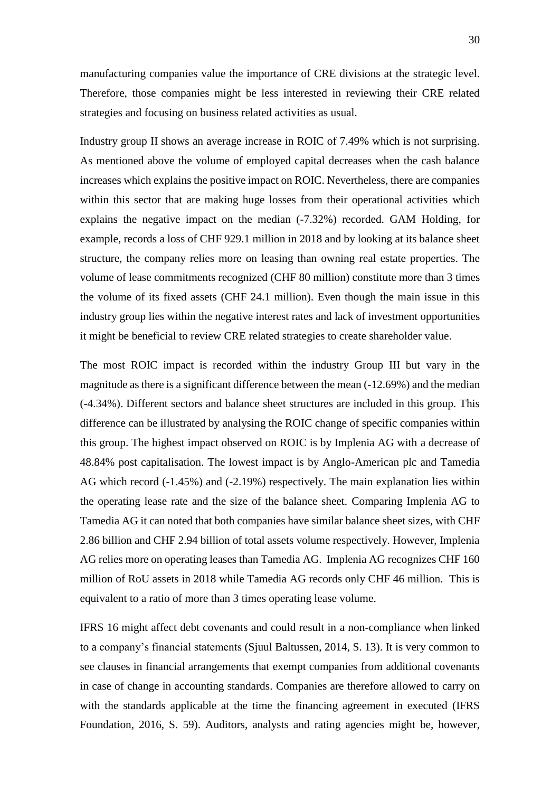manufacturing companies value the importance of CRE divisions at the strategic level. Therefore, those companies might be less interested in reviewing their CRE related strategies and focusing on business related activities as usual.

Industry group II shows an average increase in ROIC of 7.49% which is not surprising. As mentioned above the volume of employed capital decreases when the cash balance increases which explains the positive impact on ROIC. Nevertheless, there are companies within this sector that are making huge losses from their operational activities which explains the negative impact on the median (-7.32%) recorded. GAM Holding, for example, records a loss of CHF 929.1 million in 2018 and by looking at its balance sheet structure, the company relies more on leasing than owning real estate properties. The volume of lease commitments recognized (CHF 80 million) constitute more than 3 times the volume of its fixed assets (CHF 24.1 million). Even though the main issue in this industry group lies within the negative interest rates and lack of investment opportunities it might be beneficial to review CRE related strategies to create shareholder value.

The most ROIC impact is recorded within the industry Group III but vary in the magnitude as there is a significant difference between the mean (-12.69%) and the median (-4.34%). Different sectors and balance sheet structures are included in this group. This difference can be illustrated by analysing the ROIC change of specific companies within this group. The highest impact observed on ROIC is by Implenia AG with a decrease of 48.84% post capitalisation. The lowest impact is by Anglo-American plc and Tamedia AG which record (-1.45%) and (-2.19%) respectively. The main explanation lies within the operating lease rate and the size of the balance sheet. Comparing Implenia AG to Tamedia AG it can noted that both companies have similar balance sheet sizes, with CHF 2.86 billion and CHF 2.94 billion of total assets volume respectively. However, Implenia AG relies more on operating leases than Tamedia AG. Implenia AG recognizes CHF 160 million of RoU assets in 2018 while Tamedia AG records only CHF 46 million. This is equivalent to a ratio of more than 3 times operating lease volume.

IFRS 16 might affect debt covenants and could result in a non-compliance when linked to a company's financial statements (Sjuul Baltussen, 2014, S. 13). It is very common to see clauses in financial arrangements that exempt companies from additional covenants in case of change in accounting standards. Companies are therefore allowed to carry on with the standards applicable at the time the financing agreement in executed (IFRS Foundation, 2016, S. 59). Auditors, analysts and rating agencies might be, however,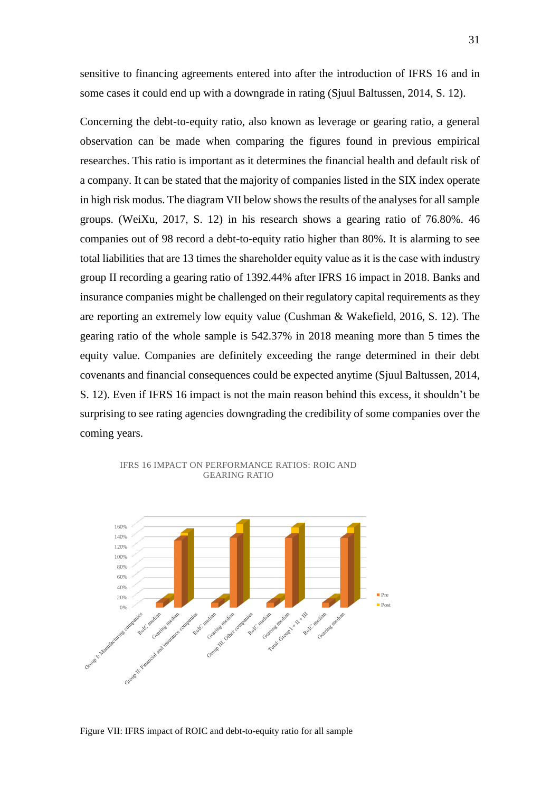sensitive to financing agreements entered into after the introduction of IFRS 16 and in some cases it could end up with a downgrade in rating (Sjuul Baltussen, 2014, S. 12).

Concerning the debt-to-equity ratio, also known as leverage or gearing ratio, a general observation can be made when comparing the figures found in previous empirical researches. This ratio is important as it determines the financial health and default risk of a company. It can be stated that the majority of companies listed in the SIX index operate in high risk modus. The diagram VII below shows the results of the analyses for all sample groups. (WeiXu, 2017, S. 12) in his research shows a gearing ratio of 76.80%. 46 companies out of 98 record a debt-to-equity ratio higher than 80%. It is alarming to see total liabilities that are 13 times the shareholder equity value as it is the case with industry group II recording a gearing ratio of 1392.44% after IFRS 16 impact in 2018. Banks and insurance companies might be challenged on their regulatory capital requirements as they are reporting an extremely low equity value (Cushman & Wakefield, 2016, S. 12). The gearing ratio of the whole sample is 542.37% in 2018 meaning more than 5 times the equity value. Companies are definitely exceeding the range determined in their debt covenants and financial consequences could be expected anytime (Sjuul Baltussen, 2014, S. 12). Even if IFRS 16 impact is not the main reason behind this excess, it shouldn't be surprising to see rating agencies downgrading the credibility of some companies over the coming years.



IFRS 16 IMPACT ON PERFORMANCE RATIOS: ROIC AND GEARING RATIO

<span id="page-38-0"></span>Figure VII: IFRS impact of ROIC and debt-to-equity ratio for all sample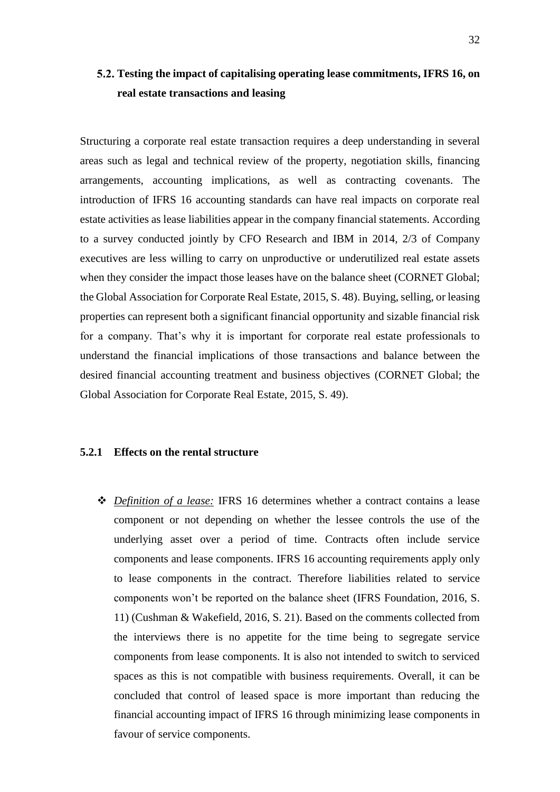## <span id="page-39-0"></span>**Testing the impact of capitalising operating lease commitments, IFRS 16, on real estate transactions and leasing**

Structuring a corporate real estate transaction requires a deep understanding in several areas such as legal and technical review of the property, negotiation skills, financing arrangements, accounting implications, as well as contracting covenants. The introduction of IFRS 16 accounting standards can have real impacts on corporate real estate activities as lease liabilities appear in the company financial statements. According to a survey conducted jointly by CFO Research and IBM in 2014, 2/3 of Company executives are less willing to carry on unproductive or underutilized real estate assets when they consider the impact those leases have on the balance sheet (CORNET Global; the Global Association for Corporate Real Estate, 2015, S. 48). Buying, selling, or leasing properties can represent both a significant financial opportunity and sizable financial risk for a company. That's why it is important for corporate real estate professionals to understand the financial implications of those transactions and balance between the desired financial accounting treatment and business objectives (CORNET Global; the Global Association for Corporate Real Estate, 2015, S. 49).

#### <span id="page-39-1"></span>**5.2.1 Effects on the rental structure**

❖ *Definition of a lease:* IFRS 16 determines whether a contract contains a lease component or not depending on whether the lessee controls the use of the underlying asset over a period of time. Contracts often include service components and lease components. IFRS 16 accounting requirements apply only to lease components in the contract. Therefore liabilities related to service components won't be reported on the balance sheet (IFRS Foundation, 2016, S. 11) (Cushman & Wakefield, 2016, S. 21). Based on the comments collected from the interviews there is no appetite for the time being to segregate service components from lease components. It is also not intended to switch to serviced spaces as this is not compatible with business requirements. Overall, it can be concluded that control of leased space is more important than reducing the financial accounting impact of IFRS 16 through minimizing lease components in favour of service components.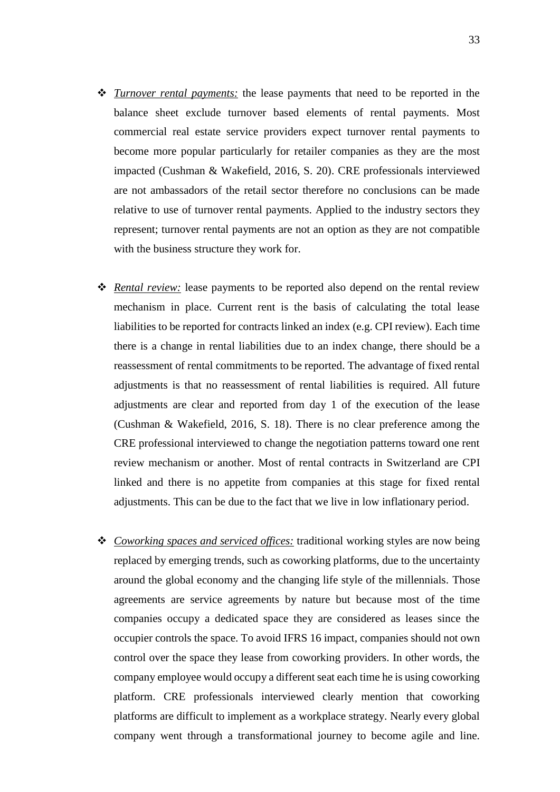- ❖ *Turnover rental payments:* the lease payments that need to be reported in the balance sheet exclude turnover based elements of rental payments. Most commercial real estate service providers expect turnover rental payments to become more popular particularly for retailer companies as they are the most impacted (Cushman & Wakefield, 2016, S. 20). CRE professionals interviewed are not ambassadors of the retail sector therefore no conclusions can be made relative to use of turnover rental payments. Applied to the industry sectors they represent; turnover rental payments are not an option as they are not compatible with the business structure they work for.
- ❖ *Rental review:* lease payments to be reported also depend on the rental review mechanism in place. Current rent is the basis of calculating the total lease liabilities to be reported for contracts linked an index (e.g. CPI review). Each time there is a change in rental liabilities due to an index change, there should be a reassessment of rental commitments to be reported. The advantage of fixed rental adjustments is that no reassessment of rental liabilities is required. All future adjustments are clear and reported from day 1 of the execution of the lease (Cushman & Wakefield, 2016, S. 18). There is no clear preference among the CRE professional interviewed to change the negotiation patterns toward one rent review mechanism or another. Most of rental contracts in Switzerland are CPI linked and there is no appetite from companies at this stage for fixed rental adjustments. This can be due to the fact that we live in low inflationary period.
- ❖ *Coworking spaces and serviced offices:* traditional working styles are now being replaced by emerging trends, such as coworking platforms, due to the uncertainty around the global economy and the changing life style of the millennials. Those agreements are service agreements by nature but because most of the time companies occupy a dedicated space they are considered as leases since the occupier controls the space. To avoid IFRS 16 impact, companies should not own control over the space they lease from coworking providers. In other words, the company employee would occupy a different seat each time he is using coworking platform. CRE professionals interviewed clearly mention that coworking platforms are difficult to implement as a workplace strategy. Nearly every global company went through a transformational journey to become agile and line.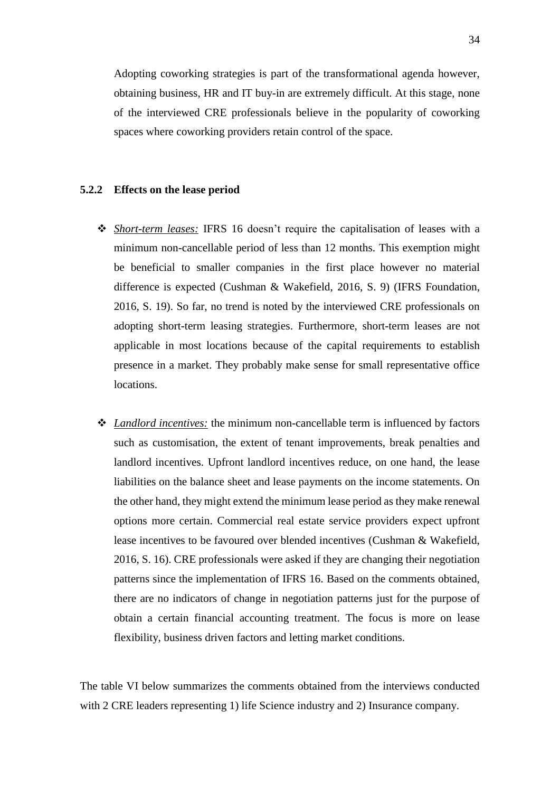Adopting coworking strategies is part of the transformational agenda however, obtaining business, HR and IT buy-in are extremely difficult. At this stage, none of the interviewed CRE professionals believe in the popularity of coworking spaces where coworking providers retain control of the space.

#### <span id="page-41-0"></span>**5.2.2 Effects on the lease period**

- ❖ *Short-term leases:* IFRS 16 doesn't require the capitalisation of leases with a minimum non-cancellable period of less than 12 months. This exemption might be beneficial to smaller companies in the first place however no material difference is expected (Cushman & Wakefield, 2016, S. 9) (IFRS Foundation, 2016, S. 19). So far, no trend is noted by the interviewed CRE professionals on adopting short-term leasing strategies. Furthermore, short-term leases are not applicable in most locations because of the capital requirements to establish presence in a market. They probably make sense for small representative office locations.
- ❖ *Landlord incentives:* the minimum non-cancellable term is influenced by factors such as customisation, the extent of tenant improvements, break penalties and landlord incentives. Upfront landlord incentives reduce, on one hand, the lease liabilities on the balance sheet and lease payments on the income statements. On the other hand, they might extend the minimum lease period as they make renewal options more certain. Commercial real estate service providers expect upfront lease incentives to be favoured over blended incentives (Cushman & Wakefield, 2016, S. 16). CRE professionals were asked if they are changing their negotiation patterns since the implementation of IFRS 16. Based on the comments obtained, there are no indicators of change in negotiation patterns just for the purpose of obtain a certain financial accounting treatment. The focus is more on lease flexibility, business driven factors and letting market conditions.

The table VI below summarizes the comments obtained from the interviews conducted with 2 CRE leaders representing 1) life Science industry and 2) Insurance company.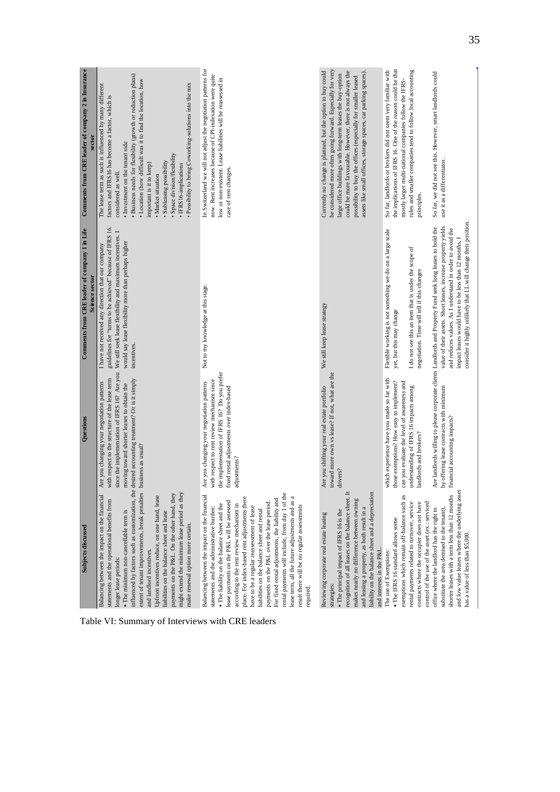| Subjects discussed                                                                                                                                                                                                                                                                                                                                                                                                                                                                                                                                                                                                                                     | Questions                                                                                                                                                                                                         | Comments from CRE leader of company 1 in Life                                                                                                                                                                                                                                                                                                                        | Comments from CRE leader of company 2 in Insurance                                                                                                                                                                                                                                                                                                                                                                                                                                                 |
|--------------------------------------------------------------------------------------------------------------------------------------------------------------------------------------------------------------------------------------------------------------------------------------------------------------------------------------------------------------------------------------------------------------------------------------------------------------------------------------------------------------------------------------------------------------------------------------------------------------------------------------------------------|-------------------------------------------------------------------------------------------------------------------------------------------------------------------------------------------------------------------|----------------------------------------------------------------------------------------------------------------------------------------------------------------------------------------------------------------------------------------------------------------------------------------------------------------------------------------------------------------------|----------------------------------------------------------------------------------------------------------------------------------------------------------------------------------------------------------------------------------------------------------------------------------------------------------------------------------------------------------------------------------------------------------------------------------------------------------------------------------------------------|
|                                                                                                                                                                                                                                                                                                                                                                                                                                                                                                                                                                                                                                                        |                                                                                                                                                                                                                   | Science sector                                                                                                                                                                                                                                                                                                                                                       | sector                                                                                                                                                                                                                                                                                                                                                                                                                                                                                             |
| influenced by factors such as customization, the desired accounting treatment? Or is it simply<br>extent of tenant improvements, break penalties<br>might extend the minimum lease period as they<br>payments on the P&L. On the other hand, they<br>Balancing between the impact on the financial<br>Upfront incentives reduce, on one hand, lease<br>statements and the operational benefits from<br>• The minimum non-cancellable term is<br>liabilities on the balance sheet and lease<br>make renewal option more certain.<br>and landlord incentives.<br>longer lease periods:                                                                   | since the implementation of IFRS 16? Are you<br>with respect to the structure of the lease term<br>Are you changing your negotiation patterns<br>moving toward shorter leases to obtain the<br>business as usual? | guidelines for "terms to be achieved" because of IFRS 16.<br>We still seek lease flexibility and maximum incentives. I<br>would say lease flexibility more than perhaps higher<br>I have not received any direction that our company<br>incentives.                                                                                                                  | · Business needs for flexibility (growth or reduction plans)<br>• Location (how difficult was it to find the location, how<br>Possibility to bring Coworking-solutions into the mix<br>The lease term as such is influenced by many different<br>factors and IFRS16 has become a factor, which is<br>· Investment on the tenant side<br>· Space division/flexibility<br>· Subleasing possibility<br>important is it to keep)<br>· IFRS16-implications<br>considered as well.<br>· Market situation |
| rental payments will include, from day 1 of the<br>Balancing between the impact on the financial<br>place. For index-based rent adjustments there<br>lease term, all the future adjustments and as a<br>For fixed rental adjustments, the liability and<br>lease payments on the P&L will be assessed<br>payments on the P&L over the lease period.<br>according to the rent review mechanism in<br>. The liability on the balance sheet and the<br>result there will be no regular assessments<br>have to be a regular reassessment of lease<br>statements and the administrative burden:<br>liabilities on the balance sheet and rental<br>required. | the implementation of IFRS 16? Do you prefer<br>with respect to rent review mechanism since<br>Are you changing your negotiation patterns<br>fixed rental adjustments over index-based<br>adjustments?            | Not to my knowledge at this stage.                                                                                                                                                                                                                                                                                                                                   | In Switzerland we will not adjust the negotiation patterns for<br>now. Rent increases because of CPI-indexation were quite<br>low or non-existent. Lease liabilities will be reassessed in<br>case of rent changes                                                                                                                                                                                                                                                                                 |
| recognition of all leases on the balance sheet. It<br>liability on the balance sheet and a depreciation<br>makes nearly no difference between owning<br>and leasing a property, as both result in a<br>• The principal impact of IFRS 16 is the<br>Reviewing corporate real estate leasing<br>and interests in the P&L.<br>strategies:                                                                                                                                                                                                                                                                                                                 | toward more own vs lease? If not, what are the<br>Are you shifting your real estate portfolio<br>drivers?                                                                                                         | We still keep lease strategy                                                                                                                                                                                                                                                                                                                                         | be considered more often going forward. Especially for very<br>Currently no change is planned, but the option to buy could<br>assets like small offices, storage spaces, car parking spaces).<br>could be more favourable. However, there is not always the<br>large office buildings with long-term leases the buy-option<br>possibility to buy the offices (especially for smaller leased                                                                                                        |
| exemptions which remain off-balance such as<br>rental payments related to turnover, service<br>contracts where the occupier does not have<br>control of the use of the asset (ex.: serviced<br>$\bullet$ The IFRS 16 standard allows some<br>The use of Exemptions:                                                                                                                                                                                                                                                                                                                                                                                    | which experience have you made so far with<br>those exemptions? How easy to implement?<br>can you evaluate the level of awareness and<br>understanding of IFRS 16 impacts among<br>landlords and brokers?         | Flexible working is not something we do on a large scale<br>I do not see this an item that is under the scope of<br>negotiation. Time will tell if this changes<br>yet, but this may change                                                                                                                                                                          | the implications of IFRS 16. One of the reason could be that<br>So far, landlords or brokers did not seem very familiar with<br>rules and smaller companies tend to follow local accounting<br>mostly larger multi-national companies follow the IFRS-<br>principles                                                                                                                                                                                                                               |
| and low value leases where the underlying asset<br>shorter leases with a term less than 12 months<br>office where the landlord has the right to<br>substitute the area demised to the tenant),<br>has a value of less than \$5,000.                                                                                                                                                                                                                                                                                                                                                                                                                    | by offering lease contracts with minimum<br>financial accounting impacts?                                                                                                                                         | consider it highly unlikely that LL will change their position.<br>value of their assets. Short leases, increase property yields<br>Are landlords willing to please corporate clients Landlords and Property Fund seek long leases to hold the<br>and reduces values. As I understand in order to avoid the<br>impact leases would have to be less than 12 months, I | So far, we did not see this. However, smart landlords could<br>use it as a differentiator.                                                                                                                                                                                                                                                                                                                                                                                                         |

<span id="page-42-0"></span>Table VI: Summary of Interviews with CRE leaders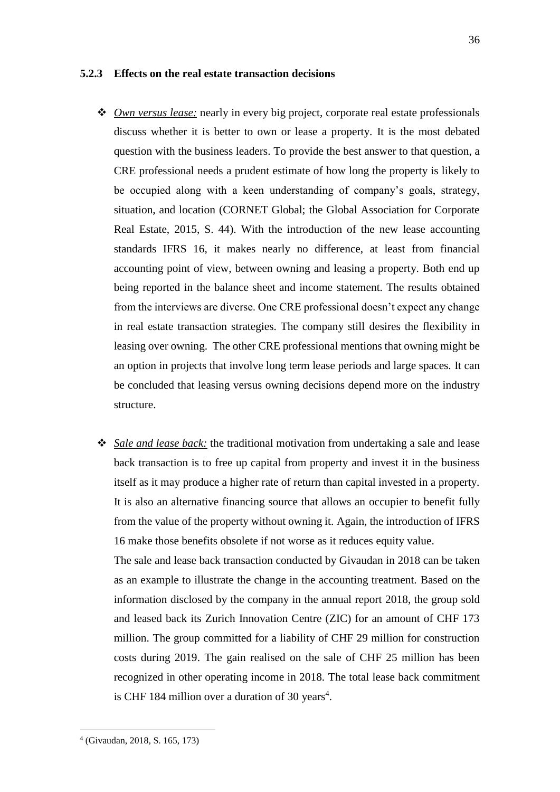#### <span id="page-43-0"></span>**5.2.3 Effects on the real estate transaction decisions**

- ❖ *Own versus lease:* nearly in every big project, corporate real estate professionals discuss whether it is better to own or lease a property. It is the most debated question with the business leaders. To provide the best answer to that question, a CRE professional needs a prudent estimate of how long the property is likely to be occupied along with a keen understanding of company's goals, strategy, situation, and location (CORNET Global; the Global Association for Corporate Real Estate, 2015, S. 44). With the introduction of the new lease accounting standards IFRS 16, it makes nearly no difference, at least from financial accounting point of view, between owning and leasing a property. Both end up being reported in the balance sheet and income statement. The results obtained from the interviews are diverse. One CRE professional doesn't expect any change in real estate transaction strategies. The company still desires the flexibility in leasing over owning. The other CRE professional mentions that owning might be an option in projects that involve long term lease periods and large spaces. It can be concluded that leasing versus owning decisions depend more on the industry structure.
- ❖ *Sale and lease back:* the traditional motivation from undertaking a sale and lease back transaction is to free up capital from property and invest it in the business itself as it may produce a higher rate of return than capital invested in a property. It is also an alternative financing source that allows an occupier to benefit fully from the value of the property without owning it. Again, the introduction of IFRS 16 make those benefits obsolete if not worse as it reduces equity value.

The sale and lease back transaction conducted by Givaudan in 2018 can be taken as an example to illustrate the change in the accounting treatment. Based on the information disclosed by the company in the annual report 2018, the group sold and leased back its Zurich Innovation Centre (ZIC) for an amount of CHF 173 million. The group committed for a liability of CHF 29 million for construction costs during 2019. The gain realised on the sale of CHF 25 million has been recognized in other operating income in 2018. The total lease back commitment is CHF 184 million over a duration of 30 years $4$ .

<sup>4</sup> (Givaudan, 2018, S. 165, 173)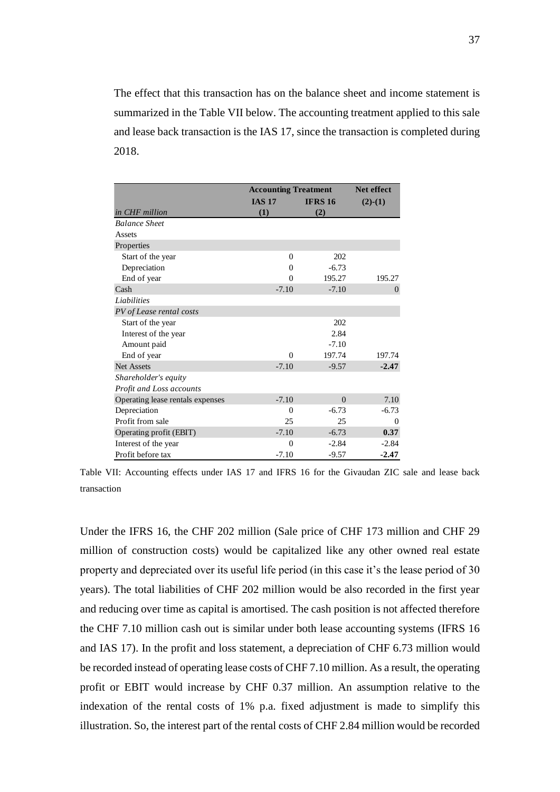The effect that this transaction has on the balance sheet and income statement is summarized in the Table VII below. The accounting treatment applied to this sale and lease back transaction is the IAS 17, since the transaction is completed during 2018.

|                                  | <b>Accounting Treatment</b> | <b>Net effect</b> |                  |
|----------------------------------|-----------------------------|-------------------|------------------|
|                                  | <b>IAS 17</b>               | <b>IFRS 16</b>    | $(2)-(1)$        |
| in CHF million                   | (1)                         | (2)               |                  |
| <b>Balance Sheet</b>             |                             |                   |                  |
| Assets                           |                             |                   |                  |
| Properties                       |                             |                   |                  |
| Start of the year                | $\theta$                    | 202               |                  |
| Depreciation                     | $\Omega$                    | $-6.73$           |                  |
| End of year                      | $\Omega$                    | 195.27            | 195.27           |
| Cash                             | $-7.10$                     | $-7.10$           | $\boldsymbol{0}$ |
| Liabilities                      |                             |                   |                  |
| PV of Lease rental costs         |                             |                   |                  |
| Start of the year                |                             | 202               |                  |
| Interest of the year             |                             | 2.84              |                  |
| Amount paid                      |                             | $-7.10$           |                  |
| End of year                      | $\theta$                    | 197.74            | 197.74           |
| <b>Net Assets</b>                | $-7.10$                     | $-9.57$           | $-2.47$          |
| Shareholder's equity             |                             |                   |                  |
| Profit and Loss accounts         |                             |                   |                  |
| Operating lease rentals expenses | $-7.10$                     | $\Omega$          | 7.10             |
| Depreciation                     | $\theta$                    | $-6.73$           | $-6.73$          |
| Profit from sale                 | 25                          | 25                | $\theta$         |
| Operating profit (EBIT)          | $-7.10$                     | $-6.73$           | 0.37             |
| Interest of the year             | $\theta$                    | $-2.84$           | $-2.84$          |
| Profit before tax                | $-7.10$                     | $-9.57$           | $-2.47$          |

<span id="page-44-0"></span>Table VII: Accounting effects under IAS 17 and IFRS 16 for the Givaudan ZIC sale and lease back transaction

Under the IFRS 16, the CHF 202 million (Sale price of CHF 173 million and CHF 29 million of construction costs) would be capitalized like any other owned real estate property and depreciated over its useful life period (in this case it's the lease period of 30 years). The total liabilities of CHF 202 million would be also recorded in the first year and reducing over time as capital is amortised. The cash position is not affected therefore the CHF 7.10 million cash out is similar under both lease accounting systems (IFRS 16 and IAS 17). In the profit and loss statement, a depreciation of CHF 6.73 million would be recorded instead of operating lease costs of CHF 7.10 million. As a result, the operating profit or EBIT would increase by CHF 0.37 million. An assumption relative to the indexation of the rental costs of 1% p.a. fixed adjustment is made to simplify this **EXERUSION ACCORDING THE CONSULTER IS (2018)**<br> **EXERUSION ACCORD ACCORD ACCORD ACCORD ACCORD ACCORD ACCORD CONSULTER CONSULTER CONSULTER CONSULTER CONSULTER CONSULTER CONSULTER CONSULTER CONSULTER CONSULTER CONSULTER CONS**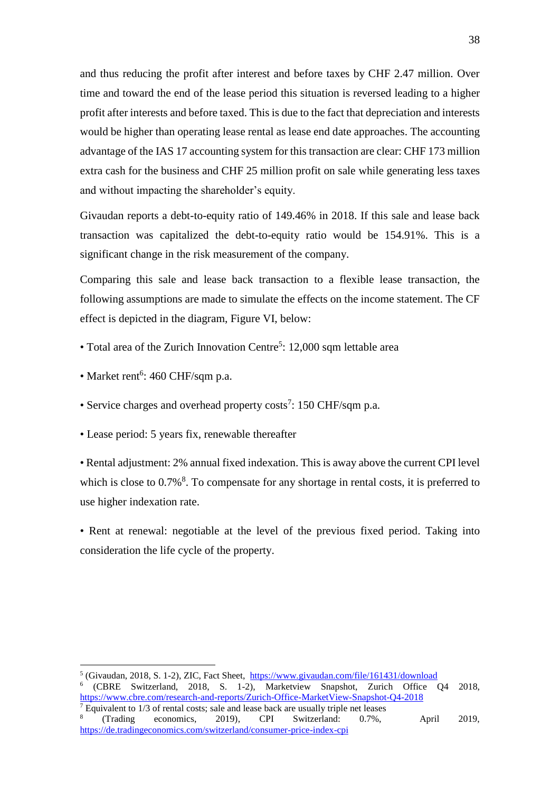and thus reducing the profit after interest and before taxes by CHF 2.47 million. Over time and toward the end of the lease period this situation is reversed leading to a higher profit after interests and before taxed. This is due to the fact that depreciation and interests would be higher than operating lease rental as lease end date approaches. The accounting advantage of the IAS 17 accounting system for this transaction are clear: CHF 173 million extra cash for the business and CHF 25 million profit on sale while generating less taxes and without impacting the shareholder's equity.

Givaudan reports a debt-to-equity ratio of 149.46% in 2018. If this sale and lease back transaction was capitalized the debt-to-equity ratio would be 154.91%. This is a significant change in the risk measurement of the company.

Comparing this sale and lease back transaction to a flexible lease transaction, the following assumptions are made to simulate the effects on the income statement. The CF effect is depicted in the diagram, Figure VI, below:

- Total area of the Zurich Innovation Centre<sup>5</sup>: 12,000 sqm lettable area
- Market rent<sup>6</sup>: 460 CHF/sqm p.a.
- Service charges and overhead property costs<sup>7</sup>: 150 CHF/sqm p.a.
- Lease period: 5 years fix, renewable thereafter

• Rental adjustment: 2% annual fixed indexation. This is away above the current CPI level which is close to  $0.7\%$ <sup>8</sup>. To compensate for any shortage in rental costs, it is preferred to use higher indexation rate.

• Rent at renewal: negotiable at the level of the previous fixed period. Taking into consideration the life cycle of the property.

<sup>5</sup> (Givaudan, 2018, S. 1-2), ZIC, Fact Sheet, <https://www.givaudan.com/file/161431/download> 6 (CBRE Switzerland, 2018, S. 1-2), Marketview Snapshot, Zurich Office Q4 2018, <https://www.cbre.com/research-and-reports/Zurich-Office-MarketView-Snapshot-Q4-2018>  $7$  Equivalent to  $1/3$  of rental costs; sale and lease back are usually triple net leases

<sup>8</sup> (Trading economics, 2019), CPI Switzerland: 0.7%, April 2019, <https://de.tradingeconomics.com/switzerland/consumer-price-index-cpi>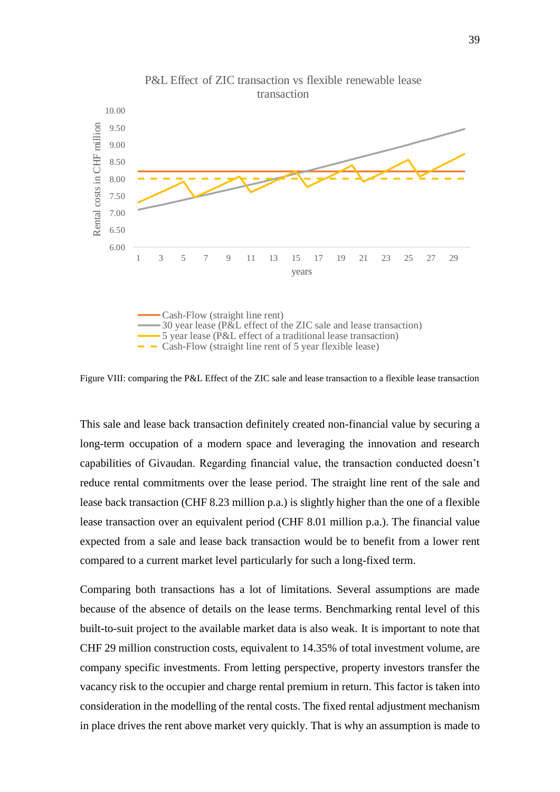

<span id="page-46-0"></span>Figure VIII: comparing the P&L Effect of the ZIC sale and lease transaction to a flexible lease transaction

This sale and lease back transaction definitely created non-financial value by securing a long-term occupation of a modern space and leveraging the innovation and research capabilities of Givaudan. Regarding financial value, the transaction conducted doesn't reduce rental commitments over the lease period. The straight line rent of the sale and lease back transaction (CHF 8.23 million p.a.) is slightly higher than the one of a flexible lease transaction over an equivalent period (CHF 8.01 million p.a.). The financial value expected from a sale and lease back transaction would be to benefit from a lower rent compared to a current market level particularly for such a long-fixed term.

Comparing both transactions has a lot of limitations. Several assumptions are made because of the absence of details on the lease terms. Benchmarking rental level of this built-to-suit project to the available market data is also weak. It is important to note that CHF 29 million construction costs, equivalent to 14.35% of total investment volume, are company specific investments. From letting perspective, property investors transfer the vacancy risk to the occupier and charge rental premium in return. This factor is taken into consideration in the modelling of the rental costs. The fixed rental adjustment mechanism in place drives the rent above market very quickly. That is why an assumption is made to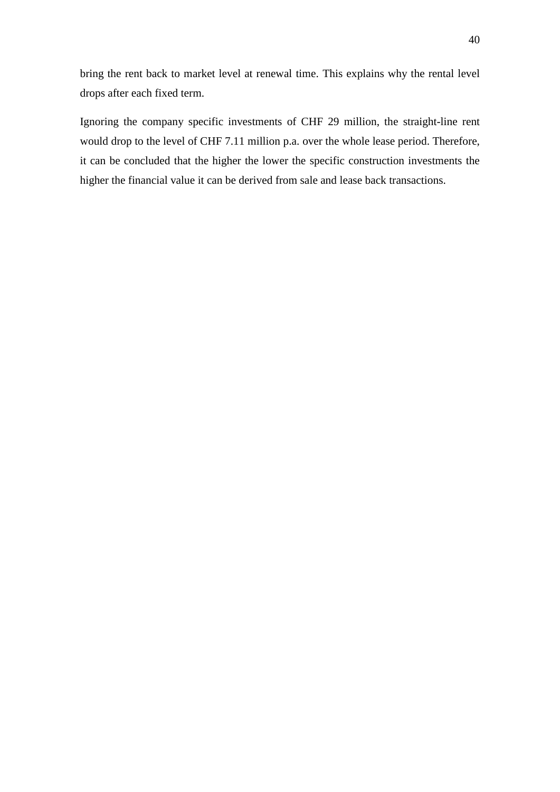bring the rent back to market level at renewal time. This explains why the rental level drops after each fixed term.

Ignoring the company specific investments of CHF 29 million, the straight-line rent would drop to the level of CHF 7.11 million p.a. over the whole lease period. Therefore, it can be concluded that the higher the lower the specific construction investments the higher the financial value it can be derived from sale and lease back transactions.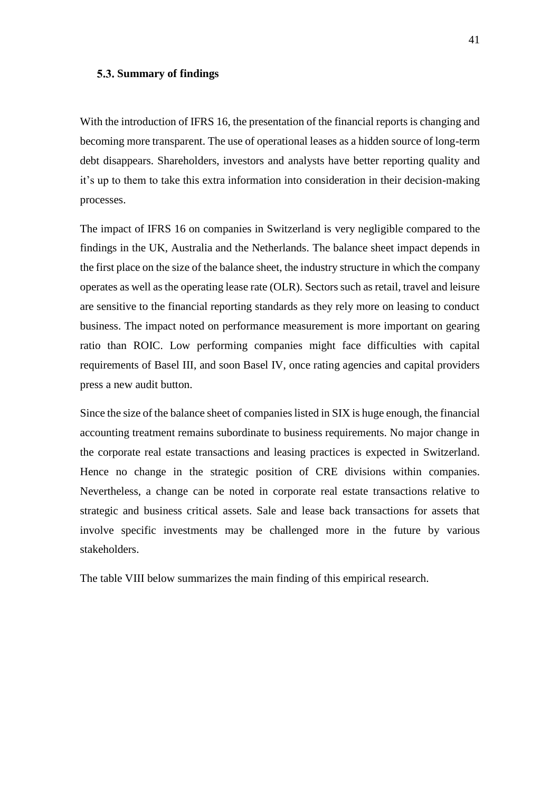#### <span id="page-48-0"></span>**Summary of findings**

With the introduction of IFRS 16, the presentation of the financial reports is changing and becoming more transparent. The use of operational leases as a hidden source of long-term debt disappears. Shareholders, investors and analysts have better reporting quality and it's up to them to take this extra information into consideration in their decision-making processes.

The impact of IFRS 16 on companies in Switzerland is very negligible compared to the findings in the UK, Australia and the Netherlands. The balance sheet impact depends in the first place on the size of the balance sheet, the industry structure in which the company operates as well as the operating lease rate (OLR). Sectors such as retail, travel and leisure are sensitive to the financial reporting standards as they rely more on leasing to conduct business. The impact noted on performance measurement is more important on gearing ratio than ROIC. Low performing companies might face difficulties with capital requirements of Basel III, and soon Basel IV, once rating agencies and capital providers press a new audit button.

Since the size of the balance sheet of companies listed in SIX is huge enough, the financial accounting treatment remains subordinate to business requirements. No major change in the corporate real estate transactions and leasing practices is expected in Switzerland. Hence no change in the strategic position of CRE divisions within companies. Nevertheless, a change can be noted in corporate real estate transactions relative to strategic and business critical assets. Sale and lease back transactions for assets that involve specific investments may be challenged more in the future by various stakeholders.

The table VIII below summarizes the main finding of this empirical research.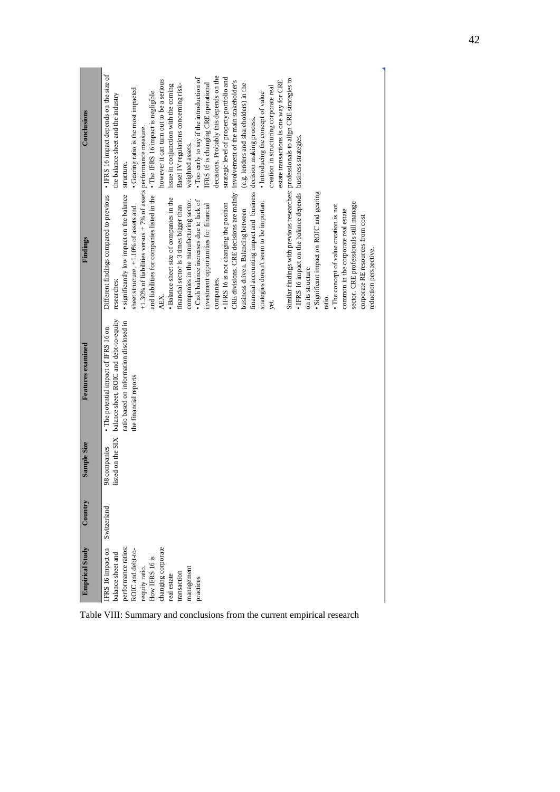| Conclusions              | • IFRS 16 impact depends on the size of<br>decisions. Probably this depends on the<br>• Too early to say if the introduction of<br>strategic level of property portfolio and<br>however it can turn out to be a serious<br>estate transactions is one way for CRE<br>IFRS 16 is changing CRE operational<br>(e.g. lenders and shareholders) in the<br>Basel IV regulations concerning risk-<br>issue in conjunction with the coming<br>creation in structuring corporate real<br>• Gearing ratio is the most impacted<br>· Introducing the concept of value<br>the balance sheet and the industry<br>weighted assets.<br>structure.                                                                                                                                                                                                                                                                                                                                                                                                                                                                                                                                                                                                                                  |
|--------------------------|----------------------------------------------------------------------------------------------------------------------------------------------------------------------------------------------------------------------------------------------------------------------------------------------------------------------------------------------------------------------------------------------------------------------------------------------------------------------------------------------------------------------------------------------------------------------------------------------------------------------------------------------------------------------------------------------------------------------------------------------------------------------------------------------------------------------------------------------------------------------------------------------------------------------------------------------------------------------------------------------------------------------------------------------------------------------------------------------------------------------------------------------------------------------------------------------------------------------------------------------------------------------|
| Findings                 | Similar findings with previous researches: professionals to align CRE strategies to<br>CRE divisions. CRE decisions are mainly involvement of the main stakeholder's<br>and liabilities for companies listed in the • The IFRS 16 impact is negligible<br>financial accounting impact and business decision making process.<br>$+1.30\%$ of liabilities versus $+7\%$ of assets performance measure.<br>. IFRS 16 impact on the balance depends business strategies.<br>· Significant impact on ROIC and gearing<br>significantly low impact on the balance<br>Different findings compared to previous<br>· Balance sheet size of companies in the<br>companies in the manufacturing sector.<br>• Cash balance increases due to lack of<br>strategies doesn't seem to be important<br>sector. CRE professionals still manage<br>• IFRS 16 is not changing the position<br>investment opportunities for financial<br>• The concept of value creation is not<br>sheet structure, +1.10% of assets and<br>financial sector is 3 times bigger than<br>common in the corporate real estate<br>business driven. Balancing between<br>corporate RE resources from cost<br>reduction perspective.<br>on its structure<br>companies.<br>researches:<br>AEX.<br>ratio.<br>yet. |
| <b>Features</b> examined | balance sheet, ROIC and debt-to-equity<br>ratio based on information disclosed in<br>• The potential impact of IFRS 16 on<br>the financial reports                                                                                                                                                                                                                                                                                                                                                                                                                                                                                                                                                                                                                                                                                                                                                                                                                                                                                                                                                                                                                                                                                                                   |
| Sample Size              | listed on the SIX<br>98 companies                                                                                                                                                                                                                                                                                                                                                                                                                                                                                                                                                                                                                                                                                                                                                                                                                                                                                                                                                                                                                                                                                                                                                                                                                                    |
| Country                  | Switzerland                                                                                                                                                                                                                                                                                                                                                                                                                                                                                                                                                                                                                                                                                                                                                                                                                                                                                                                                                                                                                                                                                                                                                                                                                                                          |
| <b>Empirical Study</b>   | performance ratios:<br>changing corporate<br>FRS 16 impact on<br>ROIC and debt-to-<br>balance sheet and<br>requity ratio.<br>How IFRS 16 is<br>management<br>transaction<br>real estate<br>practices                                                                                                                                                                                                                                                                                                                                                                                                                                                                                                                                                                                                                                                                                                                                                                                                                                                                                                                                                                                                                                                                 |

**Contract** 

<span id="page-49-0"></span>Table VIII: Summary and conclusions from the current empirical research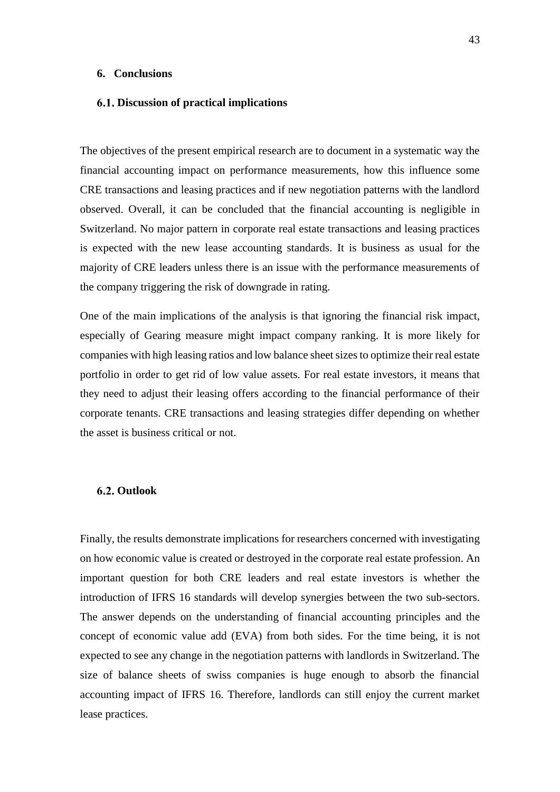#### <span id="page-50-0"></span>**6. Conclusions**

#### <span id="page-50-1"></span>**Discussion of practical implications**

The objectives of the present empirical research are to document in a systematic way the financial accounting impact on performance measurements, how this influence some CRE transactions and leasing practices and if new negotiation patterns with the landlord observed. Overall, it can be concluded that the financial accounting is negligible in Switzerland. No major pattern in corporate real estate transactions and leasing practices is expected with the new lease accounting standards. It is business as usual for the majority of CRE leaders unless there is an issue with the performance measurements of the company triggering the risk of downgrade in rating.

One of the main implications of the analysis is that ignoring the financial risk impact, especially of Gearing measure might impact company ranking. It is more likely for companies with high leasing ratios and low balance sheet sizes to optimize their real estate portfolio in order to get rid of low value assets. For real estate investors, it means that they need to adjust their leasing offers according to the financial performance of their corporate tenants. CRE transactions and leasing strategies differ depending on whether the asset is business critical or not.

#### <span id="page-50-2"></span>**Outlook**

Finally, the results demonstrate implications for researchers concerned with investigating on how economic value is created or destroyed in the corporate real estate profession. An important question for both CRE leaders and real estate investors is whether the introduction of IFRS 16 standards will develop synergies between the two sub-sectors. The answer depends on the understanding of financial accounting principles and the concept of economic value add (EVA) from both sides. For the time being, it is not expected to see any change in the negotiation patterns with landlords in Switzerland. The size of balance sheets of swiss companies is huge enough to absorb the financial accounting impact of IFRS 16. Therefore, landlords can still enjoy the current market lease practices.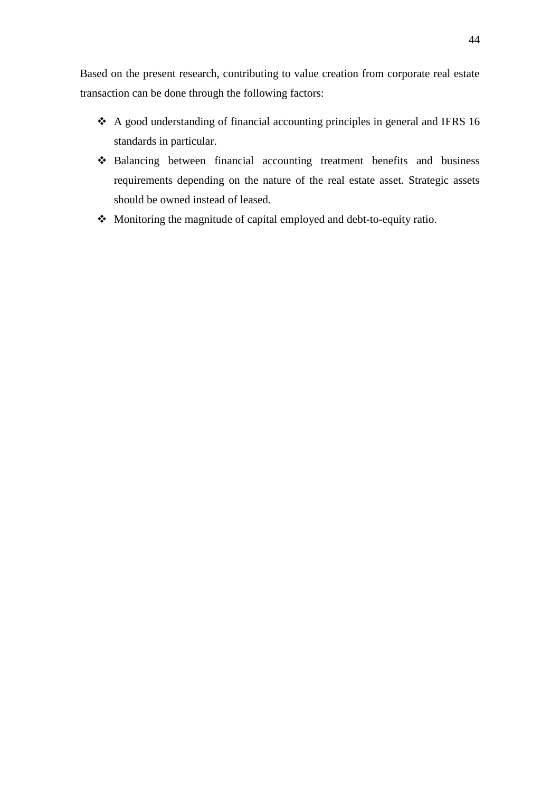Based on the present research, contributing to value creation from corporate real estate transaction can be done through the following factors:

- ❖ A good understanding of financial accounting principles in general and IFRS 16 standards in particular.
- ❖ Balancing between financial accounting treatment benefits and business requirements depending on the nature of the real estate asset. Strategic assets should be owned instead of leased.
- ❖ Monitoring the magnitude of capital employed and debt-to-equity ratio.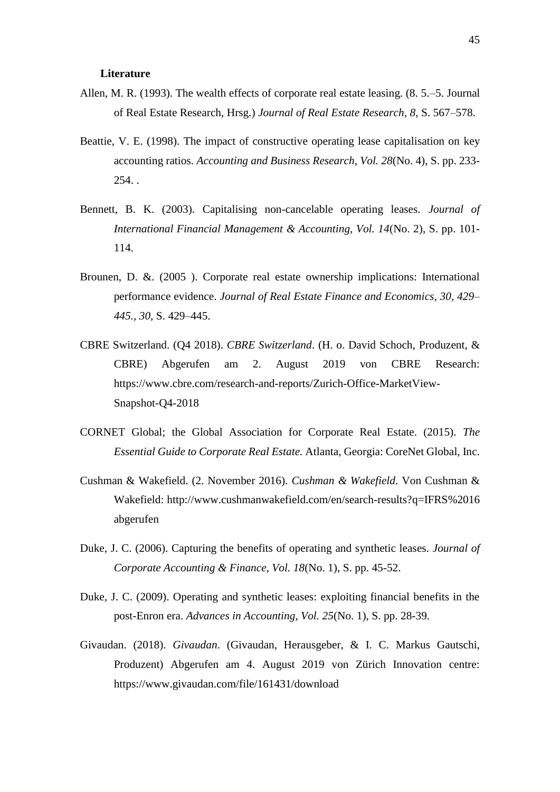#### **Literature**

- <span id="page-52-0"></span>Allen, M. R. (1993). The wealth effects of corporate real estate leasing. (8. 5.–5. Journal of Real Estate Research, Hrsg.) *Journal of Real Estate Research, 8*, S. 567–578.
- Beattie, V. E. (1998). The impact of constructive operating lease capitalisation on key accounting ratios. *Accounting and Business Research, Vol. 28*(No. 4), S. pp. 233-  $254.$ .
- Bennett, B. K. (2003). Capitalising non-cancelable operating leases. *Journal of International Financial Management & Accounting, Vol. 14*(No. 2), S. pp. 101- 114.
- Brounen, D. &. (2005 ). Corporate real estate ownership implications: International performance evidence. *Journal of Real Estate Finance and Economics, 30, 429– 445., 30*, S. 429–445.
- CBRE Switzerland. (Q4 2018). *CBRE Switzerland*. (H. o. David Schoch, Produzent, & CBRE) Abgerufen am 2. August 2019 von CBRE Research: https://www.cbre.com/research-and-reports/Zurich-Office-MarketView-Snapshot-Q4-2018
- CORNET Global; the Global Association for Corporate Real Estate. (2015). *The Essential Guide to Corporate Real Estate.* Atlanta, Georgia: CoreNet Global, Inc.
- Cushman & Wakefield. (2. November 2016). *Cushman & Wakefield.* Von Cushman & Wakefield: http://www.cushmanwakefield.com/en/search-results?q=IFRS%2016 abgerufen
- Duke, J. C. (2006). Capturing the benefits of operating and synthetic leases. *Journal of Corporate Accounting & Finance, Vol. 18*(No. 1), S. pp. 45-52.
- Duke, J. C. (2009). Operating and synthetic leases: exploiting financial benefits in the post-Enron era. *Advances in Accounting, Vol. 25*(No. 1), S. pp. 28-39.
- Givaudan. (2018). *Givaudan*. (Givaudan, Herausgeber, & I. C. Markus Gautschi, Produzent) Abgerufen am 4. August 2019 von Zürich Innovation centre: https://www.givaudan.com/file/161431/download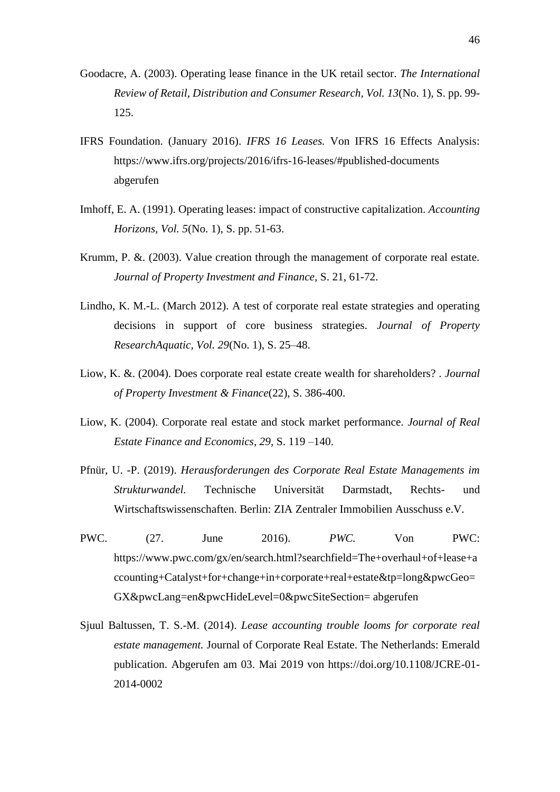- Goodacre, A. (2003). Operating lease finance in the UK retail sector. *The International Review of Retail, Distribution and Consumer Research, Vol. 13*(No. 1), S. pp. 99- 125.
- IFRS Foundation. (January 2016). *IFRS 16 Leases.* Von IFRS 16 Effects Analysis: https://www.ifrs.org/projects/2016/ifrs-16-leases/#published-documents abgerufen
- Imhoff, E. A. (1991). Operating leases: impact of constructive capitalization. *Accounting Horizons, Vol. 5*(No. 1), S. pp. 51-63.
- Krumm, P. &. (2003). Value creation through the management of corporate real estate. *Journal of Property Investment and Finance*, S. 21, 61-72.
- Lindho, K. M.-L. (March 2012). A test of corporate real estate strategies and operating decisions in support of core business strategies. *Journal of Property ResearchAquatic, Vol. 29*(No. 1), S. 25–48.
- Liow, K. &. (2004). Does corporate real estate create wealth for shareholders? . *Journal of Property Investment & Finance*(22), S. 386-400.
- Liow, K. (2004). Corporate real estate and stock market performance. *Journal of Real Estate Finance and Economics, 29*, S. 119 –140.
- Pfnür, U. -P. (2019). *Herausforderungen des Corporate Real Estate Managements im Strukturwandel.* Technische Universität Darmstadt, Rechts- und Wirtschaftswissenschaften. Berlin: ZIA Zentraler Immobilien Ausschuss e.V.
- PWC. (27. June 2016). *PWC.* Von PWC: https://www.pwc.com/gx/en/search.html?searchfield=The+overhaul+of+lease+a ccounting+Catalyst+for+change+in+corporate+real+estate&tp=long&pwcGeo= GX&pwcLang=en&pwcHideLevel=0&pwcSiteSection= abgerufen
- Sjuul Baltussen, T. S.-M. (2014). *Lease accounting trouble looms for corporate real estate management.* Journal of Corporate Real Estate. The Netherlands: Emerald publication. Abgerufen am 03. Mai 2019 von https://doi.org/10.1108/JCRE-01- 2014-0002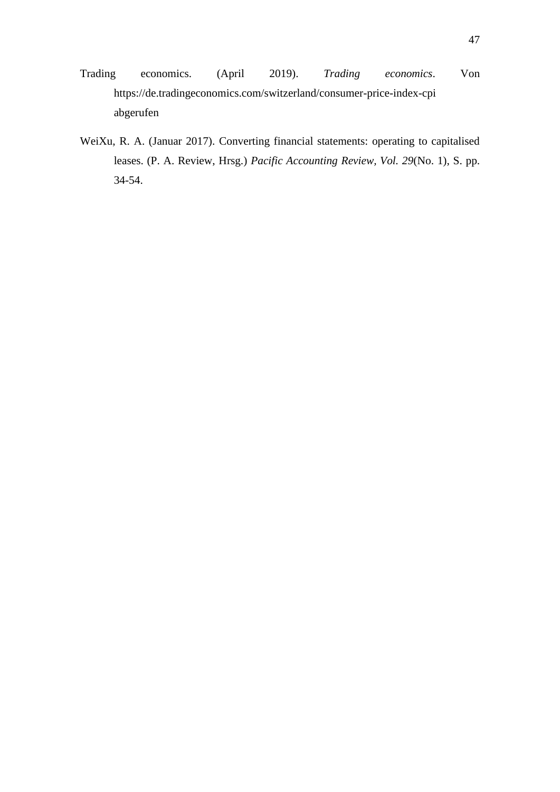- Trading economics. (April 2019). *Trading economics*. Von https://de.tradingeconomics.com/switzerland/consumer-price-index-cpi abgerufen
- WeiXu, R. A. (Januar 2017). Converting financial statements: operating to capitalised leases. (P. A. Review, Hrsg.) *Pacific Accounting Review, Vol. 29*(No. 1), S. pp. 34-54.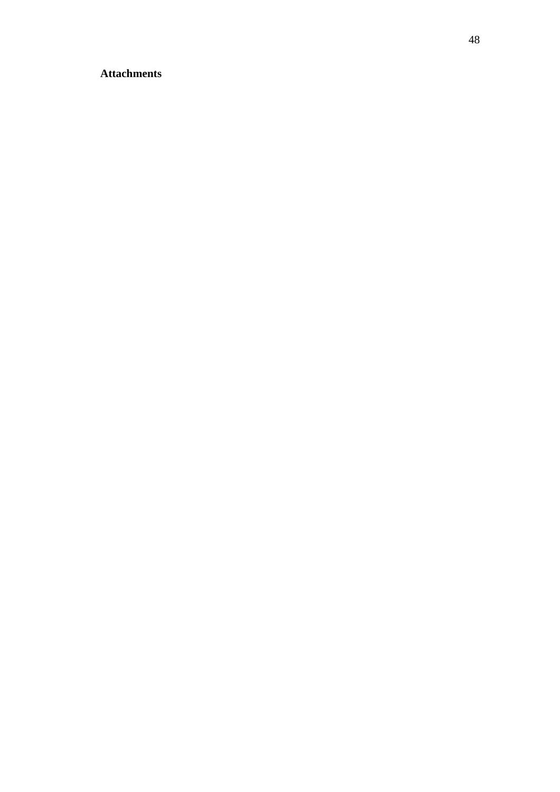### <span id="page-55-0"></span>**Attachments**